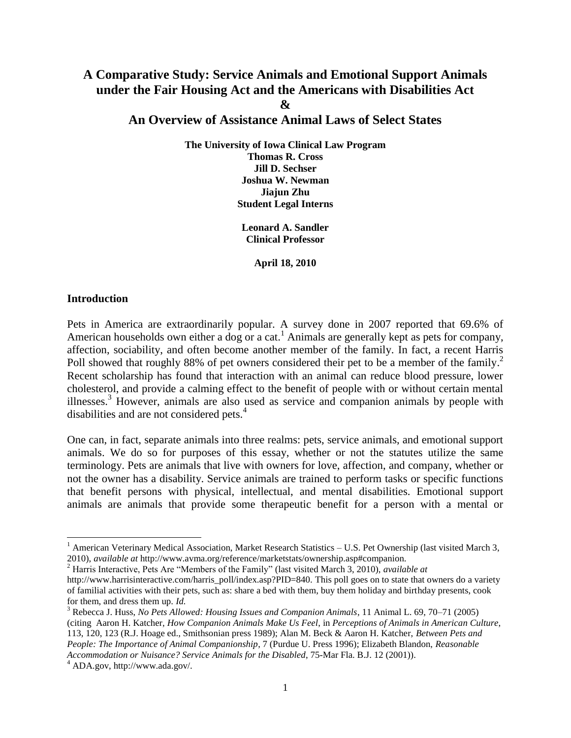# **A Comparative Study: Service Animals and Emotional Support Animals under the Fair Housing Act and the Americans with Disabilities Act &**

# **An Overview of Assistance Animal Laws of Select States**

**The University of Iowa Clinical Law Program Thomas R. Cross Jill D. Sechser Joshua W. Newman Jiajun Zhu Student Legal Interns**

> **Leonard A. Sandler Clinical Professor**

> > **April 18, 2010**

#### **Introduction**

Pets in America are extraordinarily popular. A survey done in 2007 reported that 69.6% of American households own either a dog or a cat.<sup>1</sup> Animals are generally kept as pets for company, affection, sociability, and often become another member of the family. In fact, a recent Harris Poll showed that roughly 88% of pet owners considered their pet to be a member of the family.<sup>2</sup> Recent scholarship has found that interaction with an animal can reduce blood pressure, lower cholesterol, and provide a calming effect to the benefit of people with or without certain mental illnesses.<sup>3</sup> However, animals are also used as service and companion animals by people with disabilities and are not considered pets.<sup>4</sup>

One can, in fact, separate animals into three realms: pets, service animals, and emotional support animals. We do so for purposes of this essay, whether or not the statutes utilize the same terminology. Pets are animals that live with owners for love, affection, and company, whether or not the owner has a disability. Service animals are trained to perform tasks or specific functions that benefit persons with physical, intellectual, and mental disabilities. Emotional support animals are animals that provide some therapeutic benefit for a person with a mental or

<sup>&</sup>lt;sup>1</sup> American Veterinary Medical Association, Market Research Statistics – U.S. Pet Ownership (last visited March 3, 2010), *available at* http://www.avma.org/reference/marketstats/ownership.asp#companion.

<sup>&</sup>lt;sup>2</sup> Harris Interactive, Pets Are "Members of the Family" (last visited March 3, 2010), *available at* http://www.harrisinteractive.com/harris\_poll/index.asp?PID=840. This poll goes on to state that owners do a variety of familial activities with their pets, such as: share a bed with them, buy them holiday and birthday presents, cook for them, and dress them up. *Id.*

<sup>3</sup> Rebecca J. Huss, *No Pets Allowed: Housing Issues and Companion Animals*, 11 Animal L. 69, 70–71 (2005) (citing Aaron H. Katcher, *How Companion Animals Make Us Feel*, in *Perceptions of Animals in American Culture*, 113, 120, 123 (R.J. Hoage ed., Smithsonian press 1989); Alan M. Beck & Aaron H. Katcher, *Between Pets and People: The Importance of Animal Companionship*, 7 (Purdue U. Press 1996); Elizabeth Blandon, *Reasonable Accommodation or Nuisance? Service Animals for the Disabled*, 75-Mar Fla. B.J. 12 (2001)).

 $^4$  ADA.gov, http://www.ada.gov/.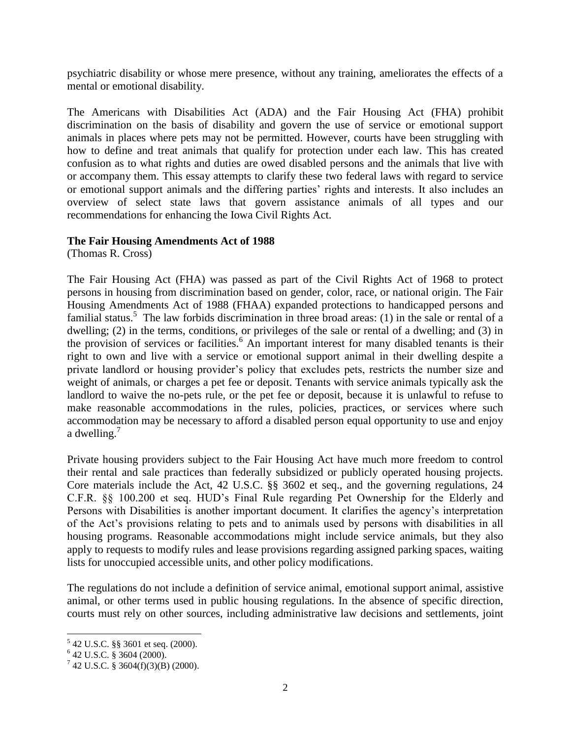psychiatric disability or whose mere presence, without any training, ameliorates the effects of a mental or emotional disability.

The Americans with Disabilities Act (ADA) and the Fair Housing Act (FHA) prohibit discrimination on the basis of disability and govern the use of service or emotional support animals in places where pets may not be permitted. However, courts have been struggling with how to define and treat animals that qualify for protection under each law. This has created confusion as to what rights and duties are owed disabled persons and the animals that live with or accompany them. This essay attempts to clarify these two federal laws with regard to service or emotional support animals and the differing parties' rights and interests. It also includes an overview of select state laws that govern assistance animals of all types and our recommendations for enhancing the Iowa Civil Rights Act.

### **The Fair Housing Amendments Act of 1988**

(Thomas R. Cross)

The Fair Housing Act (FHA) was passed as part of the Civil Rights Act of 1968 to protect persons in housing from discrimination based on gender, color, race, or national origin. The Fair Housing Amendments Act of 1988 (FHAA) expanded protections to handicapped persons and familial status.<sup>5</sup> The law forbids discrimination in three broad areas: (1) in the sale or rental of a dwelling; (2) in the terms, conditions, or privileges of the sale or rental of a dwelling; and (3) in the provision of services or facilities.<sup>6</sup> An important interest for many disabled tenants is their right to own and live with a service or emotional support animal in their dwelling despite a private landlord or housing provider's policy that excludes pets, restricts the number size and weight of animals, or charges a pet fee or deposit. Tenants with service animals typically ask the landlord to waive the no-pets rule, or the pet fee or deposit, because it is unlawful to refuse to make reasonable accommodations in the rules, policies, practices, or services where such accommodation may be necessary to afford a disabled person equal opportunity to use and enjoy a dwelling.<sup>7</sup>

Private housing providers subject to the Fair Housing Act have much more freedom to control their rental and sale practices than federally subsidized or publicly operated housing projects. Core materials include the Act, 42 U.S.C. §§ 3602 et seq., and the governing regulations, 24 C.F.R. §§ 100.200 et seq. HUD's Final Rule regarding Pet Ownership for the Elderly and Persons with Disabilities is another important document. It clarifies the agency's interpretation of the Act's provisions relating to pets and to animals used by persons with disabilities in all housing programs. Reasonable accommodations might include service animals, but they also apply to requests to modify rules and lease provisions regarding assigned parking spaces, waiting lists for unoccupied accessible units, and other policy modifications.

The regulations do not include a definition of service animal, emotional support animal, assistive animal, or other terms used in public housing regulations. In the absence of specific direction, courts must rely on other sources, including administrative law decisions and settlements, joint

 5 42 U.S.C. §§ 3601 et seq. (2000).

<sup>6</sup> 42 U.S.C. § 3604 (2000).

 $7$  42 U.S.C. § 3604(f)(3)(B) (2000).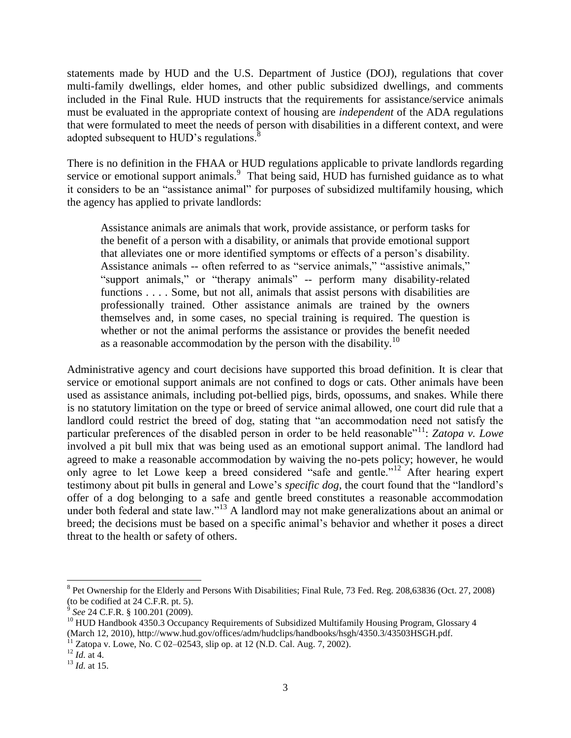statements made by HUD and the U.S. Department of Justice (DOJ), regulations that cover multi-family dwellings, elder homes, and other public subsidized dwellings, and comments included in the Final Rule. HUD instructs that the requirements for assistance/service animals must be evaluated in the appropriate context of housing are *independent* of the ADA regulations that were formulated to meet the needs of person with disabilities in a different context, and were adopted subsequent to HUD's regulations.<sup>8</sup>

There is no definition in the FHAA or HUD regulations applicable to private landlords regarding service or emotional support animals.<sup>9</sup> That being said, HUD has furnished guidance as to what it considers to be an "assistance animal" for purposes of subsidized multifamily housing, which the agency has applied to private landlords:

Assistance animals are animals that work, provide assistance, or perform tasks for the benefit of a person with a disability, or animals that provide emotional support that alleviates one or more identified symptoms or effects of a person's disability. Assistance animals -- often referred to as "service animals," "assistive animals," "support animals," or "therapy animals" -- perform many disability-related functions . . . . Some, but not all, animals that assist persons with disabilities are professionally trained. Other assistance animals are trained by the owners themselves and, in some cases, no special training is required. The question is whether or not the animal performs the assistance or provides the benefit needed as a reasonable accommodation by the person with the disability.<sup>10</sup>

Administrative agency and court decisions have supported this broad definition. It is clear that service or emotional support animals are not confined to dogs or cats. Other animals have been used as assistance animals, including pot-bellied pigs, birds, opossums, and snakes. While there is no statutory limitation on the type or breed of service animal allowed, one court did rule that a landlord could restrict the breed of dog, stating that "an accommodation need not satisfy the particular preferences of the disabled person in order to be held reasonable"<sup>11</sup>: *Zatopa v. Lowe* involved a pit bull mix that was being used as an emotional support animal. The landlord had agreed to make a reasonable accommodation by waiving the no-pets policy; however, he would only agree to let Lowe keep a breed considered "safe and gentle."<sup>12</sup> After hearing expert testimony about pit bulls in general and Lowe's *specific dog*, the court found that the "landlord's offer of a dog belonging to a safe and gentle breed constitutes a reasonable accommodation under both federal and state law."<sup>13</sup> A landlord may not make generalizations about an animal or breed; the decisions must be based on a specific animal's behavior and whether it poses a direct threat to the health or safety of others.

<span id="page-2-0"></span><sup>&</sup>lt;sup>8</sup> Pet Ownership for the Elderly and Persons With Disabilities; Final Rule, 73 Fed. Reg. 208,63836 (Oct. 27, 2008) (to be codified at 24 C.F.R. pt. 5).

<sup>&</sup>lt;sup>9</sup> See 24 C.F.R. § 100.201 (2009).

<sup>&</sup>lt;sup>10</sup> HUD Handbook 4350.3 Occupancy Requirements of Subsidized Multifamily Housing Program, Glossary 4 (March 12, 2010), http://www.hud.gov/offices/adm/hudclips/handbooks/hsgh/4350.3/43503HSGH.pdf.

 $11$  Zatopa v. Lowe, No. C 02–02543, slip op. at 12 (N.D. Cal. Aug. 7, 2002).

 $^{12}$  *Id.* at 4.

<sup>13</sup> *Id.* at 15.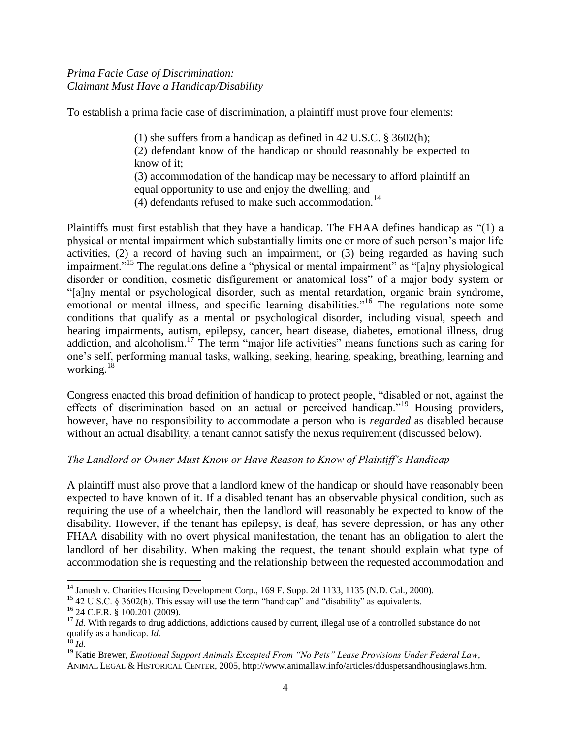To establish a prima facie case of discrimination, a plaintiff must prove four elements:

(1) she suffers from a handicap as defined in 42 U.S.C. § 3602(h); (2) defendant know of the handicap or should reasonably be expected to know of it; (3) accommodation of the handicap may be necessary to afford plaintiff an equal opportunity to use and enjoy the dwelling; and  $(4)$  defendants refused to make such accommodation.<sup>14</sup>

Plaintiffs must first establish that they have a handicap. The FHAA defines handicap as  $(1)$  a physical or mental impairment which substantially limits one or more of such person's major life activities, (2) a record of having such an impairment, or (3) being regarded as having such impairment.<sup>15</sup> The regulations define a "physical or mental impairment" as "[a]ny physiological disorder or condition, cosmetic disfigurement or anatomical loss" of a major body system or ―[a]ny mental or psychological disorder, such as mental retardation, organic brain syndrome, emotional or mental illness, and specific learning disabilities.<sup> $16$ </sup> The regulations note some conditions that qualify as a mental or psychological disorder, including visual, speech and hearing impairments, autism, epilepsy, cancer, heart disease, diabetes, emotional illness, drug addiction, and alcoholism.<sup>17</sup> The term "major life activities" means functions such as caring for one's self, performing manual tasks, walking, seeking, hearing, speaking, breathing, learning and working.<sup>18</sup>

Congress enacted this broad definition of handicap to protect people, "disabled or not, against the effects of discrimination based on an actual or perceived handicap.<sup>19</sup> Housing providers, however, have no responsibility to accommodate a person who is *regarded* as disabled because without an actual disability, a tenant cannot satisfy the nexus requirement (discussed below).

# *The Landlord or Owner Must Know or Have Reason to Know of Plaintiff's Handicap*

A plaintiff must also prove that a landlord knew of the handicap or should have reasonably been expected to have known of it. If a disabled tenant has an observable physical condition, such as requiring the use of a wheelchair, then the landlord will reasonably be expected to know of the disability. However, if the tenant has epilepsy, is deaf, has severe depression, or has any other FHAA disability with no overt physical manifestation, the tenant has an obligation to alert the landlord of her disability. When making the request, the tenant should explain what type of accommodation she is requesting and the relationship between the requested accommodation and

<sup>&</sup>lt;sup>14</sup> Janush v. Charities Housing Development Corp., 169 F. Supp. 2d 1133, 1135 (N.D. Cal., 2000).

 $15$  42 U.S.C. § 3602(h). This essay will use the term "handicap" and "disability" as equivalents.

<sup>16</sup> 24 C.F.R. § 100.201 (2009).

<sup>&</sup>lt;sup>17</sup> *Id.* With regards to drug addictions, addictions caused by current, illegal use of a controlled substance do not qualify as a handicap. *Id.*

<sup>18</sup> *Id.*

<sup>19</sup> Katie Brewer, *Emotional Support Animals Excepted From "No Pets" Lease Provisions Under Federal Law*, ANIMAL LEGAL & HISTORICAL CENTER, 2005, http://www.animallaw.info/articles/dduspetsandhousinglaws.htm.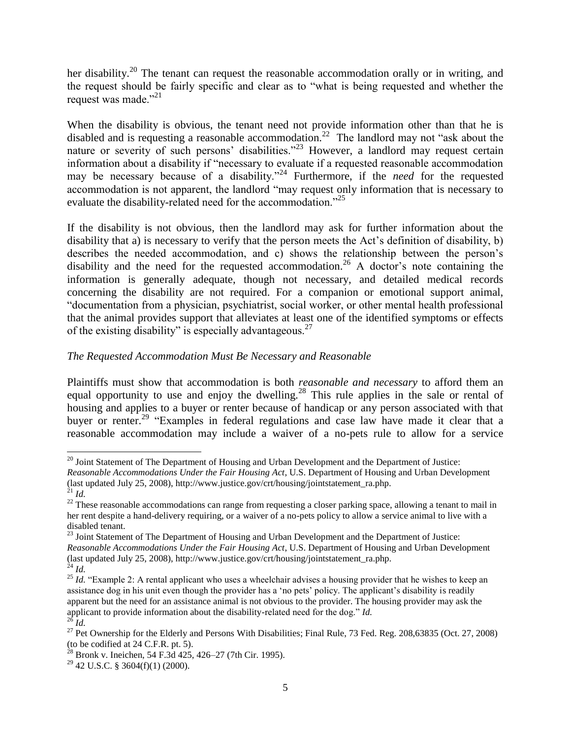her disability.<sup>20</sup> The tenant can request the reasonable accommodation orally or in writing, and the request should be fairly specific and clear as to "what is being requested and whether the request was made."<sup>21</sup>

When the disability is obvious, the tenant need not provide information other than that he is disabled and is requesting a reasonable accommodation.<sup>22</sup> The landlord may not "ask about the nature or severity of such persons' disabilities.<sup> $23$ </sup> However, a landlord may request certain information about a disability if "necessary to evaluate if a requested reasonable accommodation may be necessary because of a disability."<sup>24</sup> Furthermore, if the *need* for the requested accommodation is not apparent, the landlord "may request only information that is necessary to evaluate the disability-related need for the accommodation.<sup>725</sup>

If the disability is not obvious, then the landlord may ask for further information about the disability that a) is necessary to verify that the person meets the Act's definition of disability, b) describes the needed accommodation, and c) shows the relationship between the person's disability and the need for the requested accommodation.<sup>26</sup> A doctor's note containing the information is generally adequate, though not necessary, and detailed medical records concerning the disability are not required. For a companion or emotional support animal, ―documentation from a physician, psychiatrist, social worker, or other mental health professional that the animal provides support that alleviates at least one of the identified symptoms or effects of the existing disability" is especially advantageous.<sup>27</sup>

# *The Requested Accommodation Must Be Necessary and Reasonable*

Plaintiffs must show that accommodation is both *reasonable and necessary* to afford them an equal opportunity to use and enjoy the dwelling.<sup>28</sup> This rule applies in the sale or rental of housing and applies to a buyer or renter because of handicap or any person associated with that buyer or renter.<sup>29</sup> "Examples in federal regulations and case law have made it clear that a reasonable accommodation may include a waiver of a no-pets rule to allow for a service

 $\overline{a}$  $20$  Joint Statement of The Department of Housing and Urban Development and the Department of Justice:

*Reasonable Accommodations Under the Fair Housing Act*, U.S. Department of Housing and Urban Development (last updated July 25, 2008), http://www.justice.gov/crt/housing/jointstatement\_ra.php.

<sup>21</sup> *Id.*

 $22$  These reasonable accommodations can range from requesting a closer parking space, allowing a tenant to mail in her rent despite a hand-delivery requiring, or a waiver of a no-pets policy to allow a service animal to live with a disabled tenant.

<sup>&</sup>lt;sup>23</sup> Joint Statement of The Department of Housing and Urban Development and the Department of Justice: *Reasonable Accommodations Under the Fair Housing Act*, U.S. Department of Housing and Urban Development (last updated July 25, 2008), http://www.justice.gov/crt/housing/jointstatement\_ra.php.  $^{24}$  *Id.* 

<sup>&</sup>lt;sup>25</sup> *Id.* "Example 2: A rental applicant who uses a wheelchair advises a housing provider that he wishes to keep an assistance dog in his unit even though the provider has a 'no pets' policy. The applicant's disability is readily apparent but the need for an assistance animal is not obvious to the provider. The housing provider may ask the applicant to provide information about the disability-related need for the dog." *Id.* <sup>26</sup> *Id.*

<sup>&</sup>lt;sup>27</sup> Pet Ownership for the Elderly and Persons With Disabilities; Final Rule, 73 Fed. Reg. 208,63835 (Oct. 27, 2008) (to be codified at 24 C.F.R. pt. 5).

 $^{28}$  Bronk v. Ineichen, 54 F.3d 425, 426–27 (7th Cir. 1995).

 $29$  42 U.S.C. § 3604(f)(1) (2000).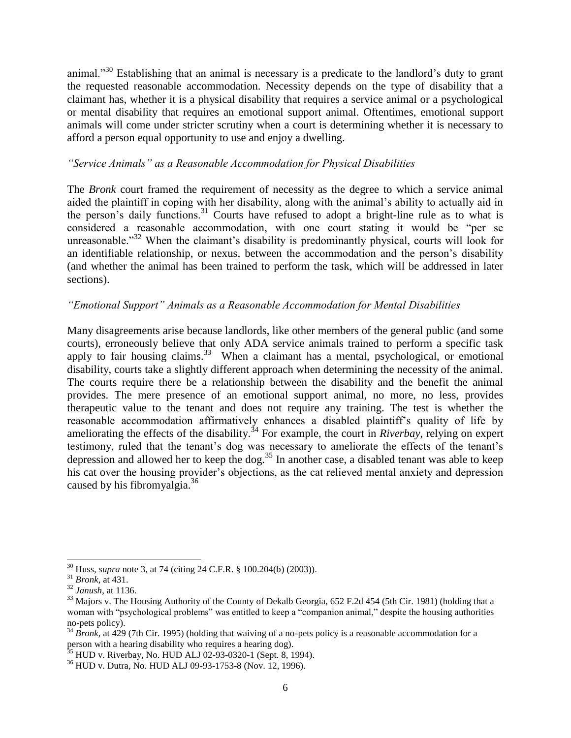animal."<sup>30</sup> Establishing that an animal is necessary is a predicate to the landlord's duty to grant the requested reasonable accommodation. Necessity depends on the type of disability that a claimant has, whether it is a physical disability that requires a service animal or a psychological or mental disability that requires an emotional support animal. Oftentimes, emotional support animals will come under stricter scrutiny when a court is determining whether it is necessary to afford a person equal opportunity to use and enjoy a dwelling.

### *"Service Animals" as a Reasonable Accommodation for Physical Disabilities*

The *Bronk* court framed the requirement of necessity as the degree to which a service animal aided the plaintiff in coping with her disability, along with the animal's ability to actually aid in the person's daily functions.<sup>31</sup> Courts have refused to adopt a bright-line rule as to what is considered a reasonable accommodation, with one court stating it would be "per se unreasonable.<sup>32</sup> When the claimant's disability is predominantly physical, courts will look for an identifiable relationship, or nexus, between the accommodation and the person's disability (and whether the animal has been trained to perform the task, which will be addressed in later sections).

# *"Emotional Support" Animals as a Reasonable Accommodation for Mental Disabilities*

Many disagreements arise because landlords, like other members of the general public (and some courts), erroneously believe that only ADA service animals trained to perform a specific task apply to fair housing claims.<sup>33</sup> When a claimant has a mental, psychological, or emotional disability, courts take a slightly different approach when determining the necessity of the animal. The courts require there be a relationship between the disability and the benefit the animal provides. The mere presence of an emotional support animal, no more, no less, provides therapeutic value to the tenant and does not require any training. The test is whether the reasonable accommodation affirmatively enhances a disabled plaintiff's quality of life by ameliorating the effects of the disability.<sup>34</sup> For example, the court in *Riverbay*, relying on expert testimony, ruled that the tenant's dog was necessary to ameliorate the effects of the tenant's depression and allowed her to keep the dog.<sup>35</sup> In another case, a disabled tenant was able to keep his cat over the housing provider's objections, as the cat relieved mental anxiety and depression caused by his fibromyalgia.<sup>36</sup>

<sup>30</sup> Huss, *supra* note 3, at 74 (citing 24 C.F.R. § 100.204(b) (2003)).

<sup>31</sup> *Bronk*, at 431.

<sup>32</sup> *Janush*, at 1136.

 $33$  Majors v. The Housing Authority of the County of Dekalb Georgia, 652 F.2d 454 (5th Cir. 1981) (holding that a woman with "psychological problems" was entitled to keep a "companion animal," despite the housing authorities no-pets policy).

<sup>&</sup>lt;sup>34</sup> *Bronk*, at 429 (7th Cir. 1995) (holding that waiving of a no-pets policy is a reasonable accommodation for a person with a hearing disability who requires a hearing dog).

 $35$  HUD v. Riverbay, No. HUD ALJ 02-93-0320-1 (Sept. 8, 1994).

<sup>36</sup> HUD v. Dutra, No. HUD ALJ 09-93-1753-8 (Nov. 12, 1996).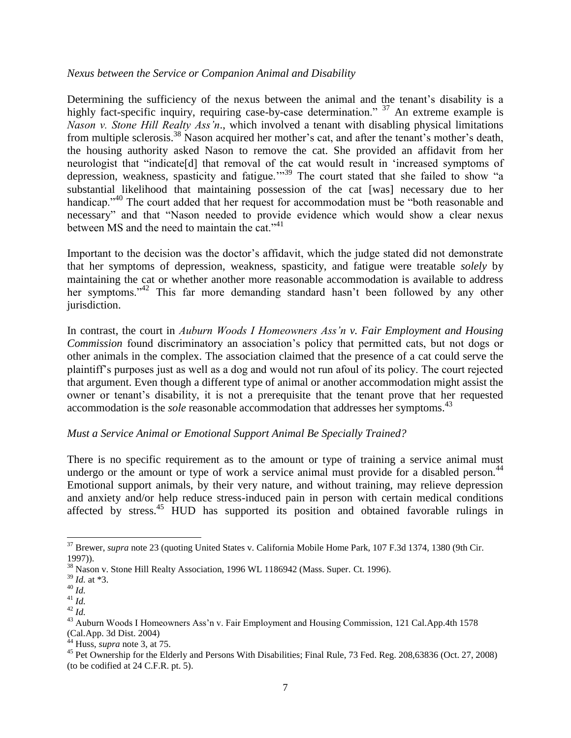### *Nexus between the Service or Companion Animal and Disability*

Determining the sufficiency of the nexus between the animal and the tenant's disability is a highly fact-specific inquiry, requiring case-by-case determination."  $37$  An extreme example is *Nason v. Stone Hill Realty Ass'n*., which involved a tenant with disabling physical limitations from multiple sclerosis.<sup>38</sup> Nason acquired her mother's cat, and after the tenant's mother's death, the housing authority asked Nason to remove the cat. She provided an affidavit from her neurologist that "indicate<sup>[d]</sup> that removal of the cat would result in 'increased symptoms of depression, weakness, spasticity and fatigue."<sup>39</sup> The court stated that she failed to show "a substantial likelihood that maintaining possession of the cat [was] necessary due to her handicap."<sup>40</sup> The court added that her request for accommodation must be "both reasonable and necessary" and that "Nason needed to provide evidence which would show a clear nexus between MS and the need to maintain the cat."<sup>41</sup>

Important to the decision was the doctor's affidavit, which the judge stated did not demonstrate that her symptoms of depression, weakness, spasticity, and fatigue were treatable *solely* by maintaining the cat or whether another more reasonable accommodation is available to address her symptoms.<sup> $342$ </sup> This far more demanding standard hasn't been followed by any other jurisdiction.

In contrast, the court in *Auburn Woods I Homeowners Ass'n v. Fair Employment and Housing Commission* found discriminatory an association's policy that permitted cats, but not dogs or other animals in the complex. The association claimed that the presence of a cat could serve the plaintiff's purposes just as well as a dog and would not run afoul of its policy. The court rejected that argument. Even though a different type of animal or another accommodation might assist the owner or tenant's disability, it is not a prerequisite that the tenant prove that her requested accommodation is the *sole* reasonable accommodation that addresses her symptoms.<sup>43</sup>

### *Must a Service Animal or Emotional Support Animal Be Specially Trained?*

There is no specific requirement as to the amount or type of training a service animal must undergo or the amount or type of work a service animal must provide for a disabled person.<sup>44</sup> Emotional support animals, by their very nature, and without training, may relieve depression and anxiety and/or help reduce stress-induced pain in person with certain medical conditions affected by stress.<sup>45</sup> HUD has supported its position and obtained favorable rulings in

<sup>&</sup>lt;sup>37</sup> Brewer, *supra* note 23 (quoting United States v. California Mobile Home Park, 107 F.3d 1374, 1380 (9th Cir. 1997)).

<sup>38</sup> Nason v. Stone Hill Realty Association, 1996 WL 1186942 (Mass. Super. Ct. 1996).

<sup>39</sup> *Id.* at \*3.

<sup>40</sup> *Id.*

<sup>41</sup> *Id.*

<sup>42</sup> *Id.*

<sup>43</sup> Auburn Woods I Homeowners Ass'n v. Fair Employment and Housing Commission, 121 Cal.App.4th 1578 (Cal.App. 3d Dist. 2004)

<sup>44</sup> Huss, *supra* note 3, at 75.

<sup>&</sup>lt;sup>45</sup> Pet Ownership for the Elderly and Persons With Disabilities; Final Rule, 73 Fed. Reg. 208,63836 (Oct. 27, 2008) (to be codified at 24 C.F.R. pt. 5).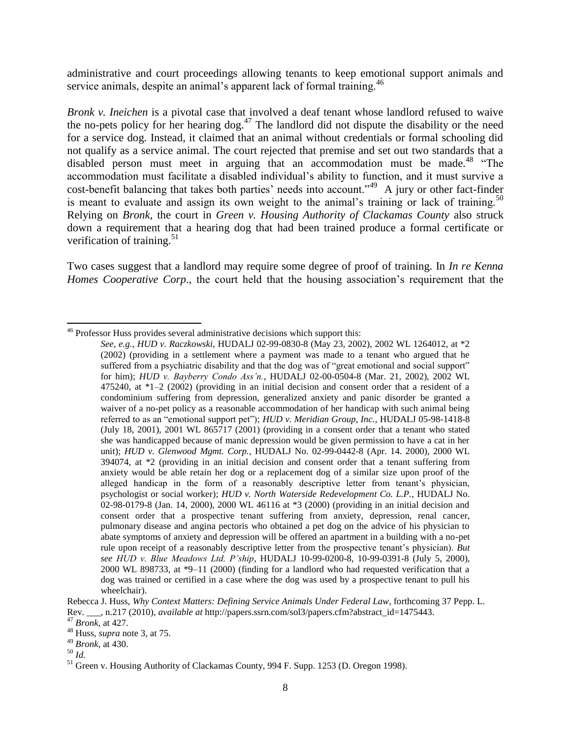administrative and court proceedings allowing tenants to keep emotional support animals and service animals, despite an animal's apparent lack of formal training.<sup>46</sup>

*Bronk v. Ineichen* is a pivotal case that involved a deaf tenant whose landlord refused to waive the no-pets policy for her hearing dog. $47$  The landlord did not dispute the disability or the need for a service dog. Instead, it claimed that an animal without credentials or formal schooling did not qualify as a service animal. The court rejected that premise and set out two standards that a disabled person must meet in arguing that an accommodation must be made.<sup>48</sup>  $\cdot$ The accommodation must facilitate a disabled individual's ability to function, and it must survive a cost-benefit balancing that takes both parties' needs into account."<sup>49</sup> A jury or other fact-finder is meant to evaluate and assign its own weight to the animal's training or lack of training.<sup>50</sup> Relying on *Bronk,* the court in *Green v. Housing Authority of Clackamas County* also struck down a requirement that a hearing dog that had been trained produce a formal certificate or verification of training.<sup>51</sup>

Two cases suggest that a landlord may require some degree of proof of training. In *In re Kenna Homes Cooperative Corp*., the court held that the housing association's requirement that the

<sup>&</sup>lt;sup>46</sup> Professor Huss provides several administrative decisions which support this:

*See, e.g., HUD v. Raczkowski*, HUDALJ 02-99-0830-8 (May 23, 2002), 2002 WL 1264012, at \*2 (2002) (providing in a settlement where a payment was made to a tenant who argued that he suffered from a psychiatric disability and that the dog was of "great emotional and social support" for him); *HUD v. Bayberry Condo Ass'n.*, HUDALJ 02-00-0504-8 (Mar. 21, 2002), 2002 WL 475240, at \*1–2 (2002) (providing in an initial decision and consent order that a resident of a condominium suffering from depression, generalized anxiety and panic disorder be granted a waiver of a no-pet policy as a reasonable accommodation of her handicap with such animal being referred to as an "emotional support pet"); *HUD v. Meridian Group, Inc.*, HUDALJ 05-98-1418-8 (July 18, 2001), 2001 WL 865717 (2001) (providing in a consent order that a tenant who stated she was handicapped because of manic depression would be given permission to have a cat in her unit); *HUD v. Glenwood Mgmt. Corp.*, HUDALJ No. 02-99-0442-8 (Apr. 14. 2000), 2000 WL  $394074$ , at  $*2$  (providing in an initial decision and consent order that a tenant suffering from anxiety would be able retain her dog or a replacement dog of a similar size upon proof of the alleged handicap in the form of a reasonably descriptive letter from tenant's physician, psychologist or social worker); *HUD v. North Waterside Redevelopment Co. L.P.*, HUDALJ No. 02-98-0179-8 (Jan. 14, 2000), 2000 WL 46116 at \*3 (2000) (providing in an initial decision and consent order that a prospective tenant suffering from anxiety, depression, renal cancer, pulmonary disease and angina pectoris who obtained a pet dog on the advice of his physician to abate symptoms of anxiety and depression will be offered an apartment in a building with a no-pet rule upon receipt of a reasonably descriptive letter from the prospective tenant's physician). *But see HUD v. Blue Meadows Ltd. P'ship*, HUDALJ 10-99-0200-8, 10-99-0391-8 (July 5, 2000), 2000 WL 898733, at \*9–11 (2000) (finding for a landlord who had requested verification that a dog was trained or certified in a case where the dog was used by a prospective tenant to pull his wheelchair).

Rebecca J. Huss, *Why Context Matters: Defining Service Animals Under Federal Law*, forthcoming 37 Pepp. L. Rev. \_\_\_, n.217 (2010), *available at* http://papers.ssrn.com/sol3/papers.cfm?abstract\_id=1475443.

<sup>47</sup> *Bronk*, at 427.

<sup>48</sup> Huss, *supra* note 3, at 75.

<sup>49</sup> *Bronk*, at 430.

<sup>50</sup> *Id.*

<sup>&</sup>lt;sup>51</sup> Green v. Housing Authority of Clackamas County, 994 F. Supp. 1253 (D. Oregon 1998).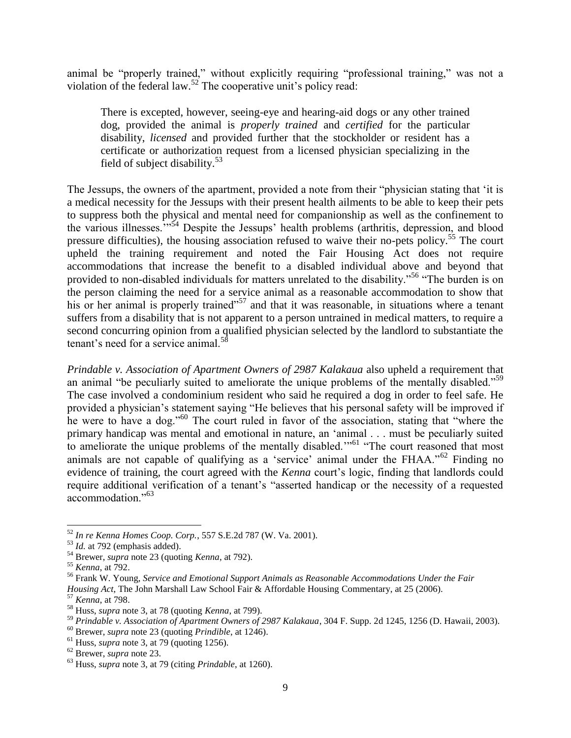animal be "properly trained," without explicitly requiring "professional training," was not a violation of the federal law.<sup>52</sup> The cooperative unit's policy read:

There is excepted, however, seeing-eye and hearing-aid dogs or any other trained dog, provided the animal is *properly trained* and *certified* for the particular disability, *licensed* and provided further that the stockholder or resident has a certificate or authorization request from a licensed physician specializing in the field of subject disability.<sup>53</sup>

The Jessups, the owners of the apartment, provided a note from their "physician stating that 'it is a medical necessity for the Jessups with their present health ailments to be able to keep their pets to suppress both the physical and mental need for companionship as well as the confinement to the various illnesses."<sup>5,54</sup> Despite the Jessups' health problems (arthritis, depression, and blood pressure difficulties), the housing association refused to waive their no-pets policy.<sup>55</sup> The court upheld the training requirement and noted the Fair Housing Act does not require accommodations that increase the benefit to a disabled individual above and beyond that provided to non-disabled individuals for matters unrelated to the disability."<sup>56</sup> "The burden is on the person claiming the need for a service animal as a reasonable accommodation to show that his or her animal is properly trained<sup> $57$ </sup> and that it was reasonable, in situations where a tenant suffers from a disability that is not apparent to a person untrained in medical matters, to require a second concurring opinion from a qualified physician selected by the landlord to substantiate the tenant's need for a service animal.<sup>58</sup>

*Prindable v. Association of Apartment Owners of 2987 Kalakaua* also upheld a requirement that an animal "be peculiarly suited to ameliorate the unique problems of the mentally disabled."<sup>59</sup> The case involved a condominium resident who said he required a dog in order to feel safe. He provided a physician's statement saying "He believes that his personal safety will be improved if he were to have a dog."<sup>60</sup> The court ruled in favor of the association, stating that "where the primary handicap was mental and emotional in nature, an 'animal . . . must be peculiarly suited to ameliorate the unique problems of the mentally disabled.<sup>"61</sup> "The court reasoned that most animals are not capable of qualifying as a 'service' animal under the FHAA.<sup> $162$ </sup> Finding no evidence of training, the court agreed with the *Kenna* court's logic, finding that landlords could require additional verification of a tenant's "asserted handicap or the necessity of a requested accommodation."<sup>63</sup>

 $\overline{a}$ <sup>52</sup> *In re Kenna Homes Coop. Corp.*, 557 S.E.2d 787 (W. Va. 2001).

<sup>53</sup> *Id.* at 792 (emphasis added).

<sup>54</sup> Brewer, *supra* note 23 (quoting *Kenna*, at 792).

<sup>55</sup> *Kenna*, at 792.

<sup>56</sup> Frank W. Young, *Service and Emotional Support Animals as Reasonable Accommodations Under the Fair Housing Act*, The John Marshall Law School Fair & Affordable Housing Commentary, at 25 (2006).

<sup>57</sup> *Kenna*, at 798.

<sup>58</sup> Huss, *supra* note 3, at 78 (quoting *Kenna*, at 799).

<sup>59</sup> *Prindable v. Association of Apartment Owners of 2987 Kalakaua*, 304 F. Supp. 2d 1245, 1256 (D. Hawaii, 2003).

<sup>60</sup> Brewer, *supra* note 23 (quoting *Prindible*, at 1246).

 $<sup>61</sup>$  Huss, *supra* note 3, at 79 (quoting 1256).</sup>

<sup>62</sup> Brewer, *supra* note 23.

<sup>63</sup> Huss, *supra* note 3, at 79 (citing *Prindable*, at 1260).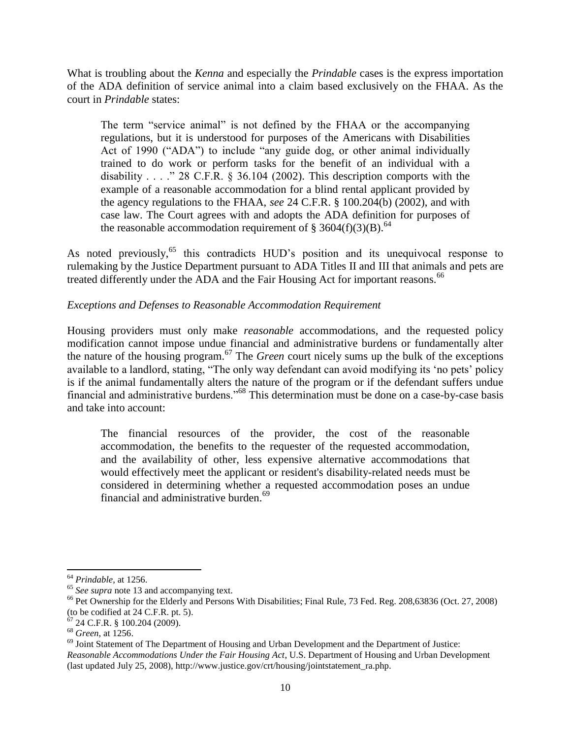What is troubling about the *Kenna* and especially the *Prindable* cases is the express importation of the ADA definition of service animal into a claim based exclusively on the FHAA. As the court in *Prindable* states:

The term "service animal" is not defined by the FHAA or the accompanying regulations, but it is understood for purposes of the Americans with Disabilities Act of 1990 ("ADA") to include "any guide dog, or other animal individually trained to do work or perform tasks for the benefit of an individual with a disability . . . ." 28 C.F.R.  $\S$  36.104 (2002). This description comports with the example of a reasonable accommodation for a blind rental applicant provided by the agency regulations to the FHAA, *see* 24 C.F.R. § 100.204(b) (2002), and with case law. The Court agrees with and adopts the ADA definition for purposes of the reasonable accommodation requirement of § 3604(f)(3)(B).<sup>64</sup>

As noted previously,<sup>65</sup> this contradicts HUD's position and its unequivocal response to rulemaking by the Justice Department pursuant to ADA Titles II and III that animals and pets are treated differently under the ADA and the Fair Housing Act for important reasons.<sup>66</sup>

# *Exceptions and Defenses to Reasonable Accommodation Requirement*

Housing providers must only make *reasonable* accommodations, and the requested policy modification cannot impose undue financial and administrative burdens or fundamentally alter the nature of the housing program.<sup>67</sup> The *Green* court nicely sums up the bulk of the exceptions available to a landlord, stating, "The only way defendant can avoid modifying its 'no pets' policy is if the animal fundamentally alters the nature of the program or if the defendant suffers undue financial and administrative burdens."<sup>68</sup> This determination must be done on a case-by-case basis and take into account:

The financial resources of the provider, the cost of the reasonable accommodation, the benefits to the requester of the requested accommodation, and the availability of other, less expensive alternative accommodations that would effectively meet the applicant or resident's disability-related needs must be considered in determining whether a requested accommodation poses an undue financial and administrative burden.<sup>69</sup>

<sup>64</sup> *Prindable*, at 1256.

<sup>&</sup>lt;sup>65</sup> *See supra* note 13 and accompanying text.

<sup>&</sup>lt;sup>66</sup> Pet Ownership for the Elderly and Persons With Disabilities; Final Rule, 73 Fed. Reg. 208,63836 (Oct. 27, 2008) (to be codified at 24 C.F.R. pt. 5).

 $67$  24 C.F.R. § 100.204 (2009).

<sup>68</sup> *Green*, at 1256.

<sup>&</sup>lt;sup>69</sup> Joint Statement of The Department of Housing and Urban Development and the Department of Justice: *Reasonable Accommodations Under the Fair Housing Act*, U.S. Department of Housing and Urban Development (last updated July 25, 2008), http://www.justice.gov/crt/housing/jointstatement\_ra.php.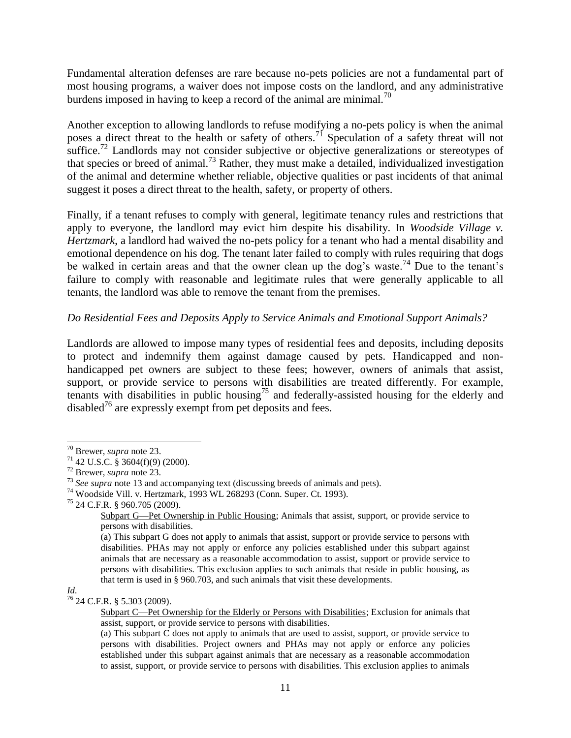Fundamental alteration defenses are rare because no-pets policies are not a fundamental part of most housing programs, a waiver does not impose costs on the landlord, and any administrative burdens imposed in having to keep a record of the animal are minimal.<sup>70</sup>

Another exception to allowing landlords to refuse modifying a no-pets policy is when the animal poses a direct threat to the health or safety of others.<sup>71</sup> Speculation of a safety threat will not suffice.<sup>72</sup> Landlords may not consider subjective or objective generalizations or stereotypes of that species or breed of animal.<sup>73</sup> Rather, they must make a detailed, individualized investigation of the animal and determine whether reliable, objective qualities or past incidents of that animal suggest it poses a direct threat to the health, safety, or property of others.

Finally, if a tenant refuses to comply with general, legitimate tenancy rules and restrictions that apply to everyone, the landlord may evict him despite his disability. In *Woodside Village v. Hertzmark*, a landlord had waived the no-pets policy for a tenant who had a mental disability and emotional dependence on his dog. The tenant later failed to comply with rules requiring that dogs be walked in certain areas and that the owner clean up the dog's waste.<sup>74</sup> Due to the tenant's failure to comply with reasonable and legitimate rules that were generally applicable to all tenants, the landlord was able to remove the tenant from the premises.

# *Do Residential Fees and Deposits Apply to Service Animals and Emotional Support Animals?*

Landlords are allowed to impose many types of residential fees and deposits, including deposits to protect and indemnify them against damage caused by pets. Handicapped and nonhandicapped pet owners are subject to these fees; however, owners of animals that assist, support, or provide service to persons with disabilities are treated differently. For example, tenants with disabilities in public housing<sup>75</sup> and federally-assisted housing for the elderly and disabled<sup>76</sup> are expressly exempt from pet deposits and fees.

*Id.*

 <sup>70</sup> Brewer, *supra* note 23.

 $71$  42 U.S.C. § 3604(f)(9) (2000).

<sup>72</sup> Brewer, *supra* note 23.

<sup>&</sup>lt;sup>73</sup> *See supra* note [13](#page-2-0) and accompanying text (discussing breeds of animals and pets).

<sup>74</sup> Woodside Vill. v. Hertzmark, 1993 WL 268293 (Conn. Super. Ct. 1993).

<sup>75</sup> 24 C.F.R. § 960.705 (2009).

Subpart G—Pet Ownership in Public Housing; Animals that assist, support, or provide service to persons with disabilities.

<sup>(</sup>a) This subpart G does not apply to animals that assist, support or provide service to persons with disabilities. PHAs may not apply or enforce any policies established under this subpart against animals that are necessary as a reasonable accommodation to assist, support or provide service to persons with disabilities. This exclusion applies to such animals that reside in public housing, as that term is used in § 960.703, and such animals that visit these developments.

<sup>76</sup> 24 C.F.R. § 5.303 (2009).

[Subpart C—Pet Ownership for the Elderly or Persons with Disabilities;](http://ecfr.gpoaccess.gov/cgi/t/text/text-idx?c=ecfr;sid=185d0b6f3a8b5dc9fd7f810d8f4539ec;rgn=div6;view=text;node=24%3A1.1.1.1.5.3;idno=24;cc=ecfr) Exclusion for animals that assist, support, or provide service to persons with disabilities.

<sup>(</sup>a) This subpart C does not apply to animals that are used to assist, support, or provide service to persons with disabilities. Project owners and PHAs may not apply or enforce any policies established under this subpart against animals that are necessary as a reasonable accommodation to assist, support, or provide service to persons with disabilities. This exclusion applies to animals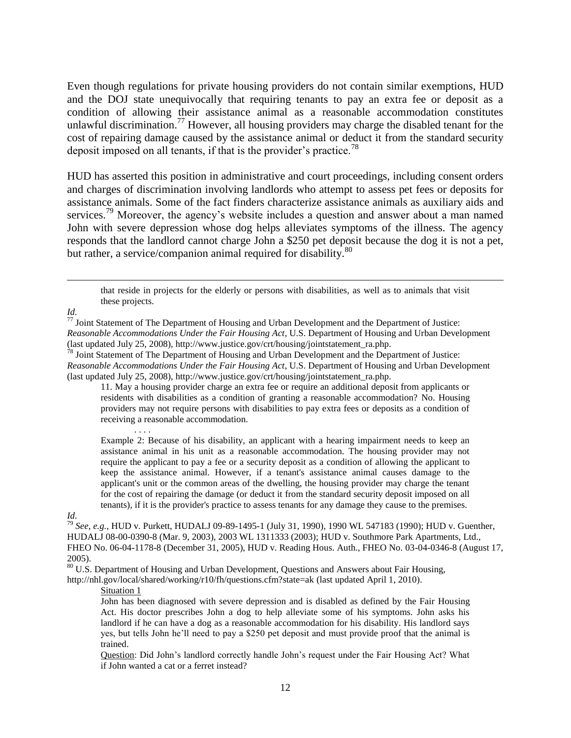Even though regulations for private housing providers do not contain similar exemptions, HUD and the DOJ state unequivocally that requiring tenants to pay an extra fee or deposit as a condition of allowing their assistance animal as a reasonable accommodation constitutes unlawful discrimination.<sup>77</sup> However, all housing providers may charge the disabled tenant for the cost of repairing damage caused by the assistance animal or deduct it from the standard security deposit imposed on all tenants, if that is the provider's practice.<sup>78</sup>

HUD has asserted this position in administrative and court proceedings, including consent orders and charges of discrimination involving landlords who attempt to assess pet fees or deposits for assistance animals. Some of the fact finders characterize assistance animals as auxiliary aids and services.<sup>79</sup> Moreover, the agency's website includes a question and answer about a man named John with severe depression whose dog helps alleviates symptoms of the illness. The agency responds that the landlord cannot charge John a \$250 pet deposit because the dog it is not a pet, but rather, a service/companion animal required for disability.<sup>80</sup>

that reside in projects for the elderly or persons with disabilities, as well as to animals that visit these projects.

*Id.*

 $\overline{a}$ 

 $77$  Joint Statement of The Department of Housing and Urban Development and the Department of Justice: *Reasonable Accommodations Under the Fair Housing Act*, U.S. Department of Housing and Urban Development (last updated July 25, 2008), http://www.justice.gov/crt/housing/jointstatement\_ra.php.

<sup>78</sup> Joint Statement of The Department of Housing and Urban Development and the Department of Justice: *Reasonable Accommodations Under the Fair Housing Act*, U.S. Department of Housing and Urban Development (last updated July 25, 2008), http://www.justice.gov/crt/housing/jointstatement\_ra.php.

11. May a housing provider charge an extra fee or require an additional deposit from applicants or residents with disabilities as a condition of granting a reasonable accommodation? No. Housing providers may not require persons with disabilities to pay extra fees or deposits as a condition of receiving a reasonable accommodation.

. . . . Example 2: Because of his disability, an applicant with a hearing impairment needs to keep an assistance animal in his unit as a reasonable accommodation. The housing provider may not require the applicant to pay a fee or a security deposit as a condition of allowing the applicant to keep the assistance animal. However, if a tenant's assistance animal causes damage to the applicant's unit or the common areas of the dwelling, the housing provider may charge the tenant for the cost of repairing the damage (or deduct it from the standard security deposit imposed on all tenants), if it is the provider's practice to assess tenants for any damage they cause to the premises.

*Id.*

<sup>79</sup> *See, e.g.*, HUD v. Purkett, HUDALJ 09-89-1495-1 (July 31, 1990), 1990 WL 547183 (1990); HUD v. Guenther, HUDALJ 08-00-0390-8 (Mar. 9, 2003), 2003 WL 1311333 (2003); HUD v. Southmore Park Apartments, Ltd., FHEO No. 06-04-1178-8 (December 31, 2005), HUD v. Reading Hous. Auth., FHEO No. 03-04-0346-8 (August 17, 2005).

<sup>80</sup> U.S. Department of Housing and Urban Development, Questions and Answers about Fair Housing, http://nhl.gov/local/shared/working/r10/fh/questions.cfm?state=ak (last updated April 1, 2010).

Situation 1

John has been diagnosed with severe depression and is disabled as defined by the Fair Housing Act. His doctor prescribes John a dog to help alleviate some of his symptoms. John asks his landlord if he can have a dog as a reasonable accommodation for his disability. His landlord says yes, but tells John he'll need to pay a \$250 pet deposit and must provide proof that the animal is trained.

Question: Did John's landlord correctly handle John's request under the Fair Housing Act? What if John wanted a cat or a ferret instead?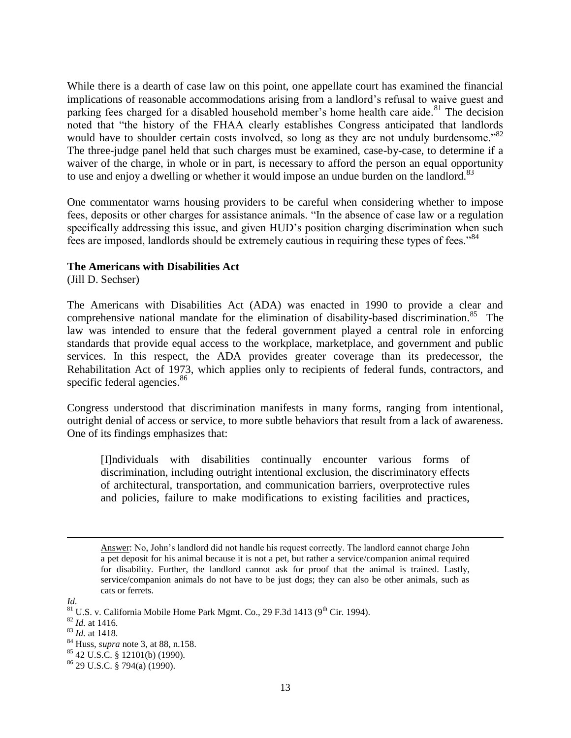While there is a dearth of case law on this point, one appellate court has examined the financial implications of reasonable accommodations arising from a landlord's refusal to waive guest and parking fees charged for a disabled household member's home health care aide.<sup>81</sup> The decision noted that "the history of the FHAA clearly establishes Congress anticipated that landlords would have to shoulder certain costs involved, so long as they are not unduly burdensome.<sup>82</sup> The three-judge panel held that such charges must be examined, case-by-case, to determine if a waiver of the charge, in whole or in part, is necessary to afford the person an equal opportunity to use and enjoy a dwelling or whether it would impose an undue burden on the landlord.<sup>83</sup>

One commentator warns housing providers to be careful when considering whether to impose fees, deposits or other charges for assistance animals. "In the absence of case law or a regulation specifically addressing this issue, and given HUD's position charging discrimination when such fees are imposed, landlords should be extremely cautious in requiring these types of fees.<sup>84</sup>

#### **The Americans with Disabilities Act**

(Jill D. Sechser)

The Americans with Disabilities Act (ADA) was enacted in 1990 to provide a clear and comprehensive national mandate for the elimination of disability-based discrimination.<sup>85</sup> The law was intended to ensure that the federal government played a central role in enforcing standards that provide equal access to the workplace, marketplace, and government and public services. In this respect, the ADA provides greater coverage than its predecessor, the Rehabilitation Act of 1973, which applies only to recipients of federal funds, contractors, and specific federal agencies.<sup>86</sup>

Congress understood that discrimination manifests in many forms, ranging from intentional, outright denial of access or service, to more subtle behaviors that result from a lack of awareness. One of its findings emphasizes that:

[I]ndividuals with disabilities continually encounter various forms of discrimination, including outright intentional exclusion, the discriminatory effects of architectural, transportation, and communication barriers, overprotective rules and policies, failure to make modifications to existing facilities and practices,

 $85$  42 U.S.C. § 12101(b) (1990).

Answer: No, John's landlord did not handle his request correctly. The landlord cannot charge John a pet deposit for his animal because it is not a pet, but rather a service/companion animal required for disability. Further, the landlord cannot ask for proof that the animal is trained. Lastly, service/companion animals do not have to be just dogs; they can also be other animals, such as cats or ferrets.

*Id.*

 $81$  U.S. v. California Mobile Home Park Mgmt. Co., 29 F.3d 1413 (9<sup>th</sup> Cir. 1994).

<sup>82</sup> *Id.* at 1416.

<sup>83</sup> *Id.* at 1418.

<sup>84</sup> Huss, *supra* note 3, at 88, n.158.

 $86$  29 U.S.C. § 794(a) (1990).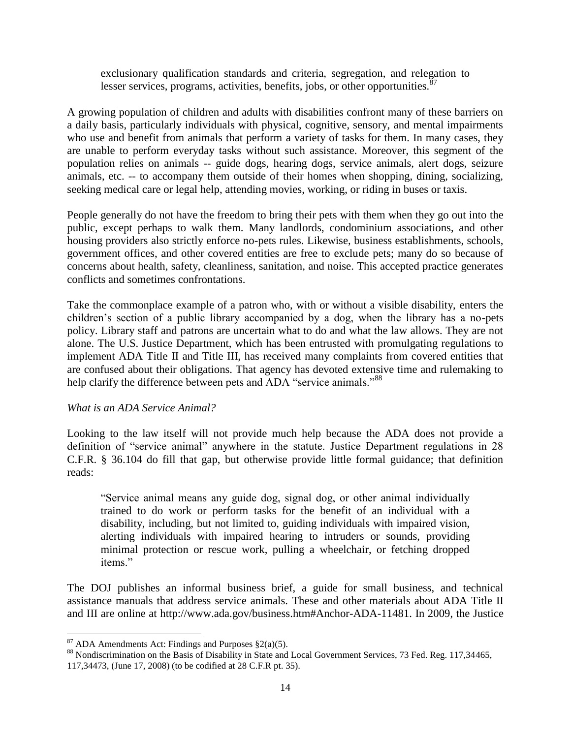exclusionary qualification standards and criteria, segregation, and relegation to lesser services, programs, activities, benefits, jobs, or other opportunities. $\frac{87}{3}$ 

A growing population of children and adults with disabilities confront many of these barriers on a daily basis, particularly individuals with physical, cognitive, sensory, and mental impairments who use and benefit from animals that perform a variety of tasks for them. In many cases, they are unable to perform everyday tasks without such assistance. Moreover, this segment of the population relies on animals -- guide dogs, hearing dogs, service animals, alert dogs, seizure animals, etc. -- to accompany them outside of their homes when shopping, dining, socializing, seeking medical care or legal help, attending movies, working, or riding in buses or taxis.

People generally do not have the freedom to bring their pets with them when they go out into the public, except perhaps to walk them. Many landlords, condominium associations, and other housing providers also strictly enforce no-pets rules. Likewise, business establishments, schools, government offices, and other covered entities are free to exclude pets; many do so because of concerns about health, safety, cleanliness, sanitation, and noise. This accepted practice generates conflicts and sometimes confrontations.

Take the commonplace example of a patron who, with or without a visible disability, enters the children's section of a public library accompanied by a dog, when the library has a no-pets policy. Library staff and patrons are uncertain what to do and what the law allows. They are not alone. The U.S. Justice Department, which has been entrusted with promulgating regulations to implement ADA Title II and Title III, has received many complaints from covered entities that are confused about their obligations. That agency has devoted extensive time and rulemaking to help clarify the difference between pets and ADA "service animals."<sup>88</sup>

### *What is an ADA Service Animal?*

Looking to the law itself will not provide much help because the ADA does not provide a definition of "service animal" anywhere in the statute. Justice Department regulations in 28 C.F.R. § 36.104 do fill that gap, but otherwise provide little formal guidance; that definition reads:

―Service animal means any guide dog, signal dog, or other animal individually trained to do work or perform tasks for the benefit of an individual with a disability, including, but not limited to, guiding individuals with impaired vision, alerting individuals with impaired hearing to intruders or sounds, providing minimal protection or rescue work, pulling a wheelchair, or fetching dropped items."

The DOJ publishes an informal business brief, a guide for small business, and technical assistance manuals that address service animals. These and other materials about ADA Title II and III are online at http://www.ada.gov/business.htm#Anchor-ADA-11481. In 2009, the Justice

 $87$  ADA Amendments Act: Findings and Purposes  $\S2(a)(5)$ .

<sup>88</sup> Nondiscrimination on the Basis of Disability in State and Local Government Services, 73 Fed. Reg. 117,34465, 117,34473, (June 17, 2008) (to be codified at 28 C.F.R pt. 35).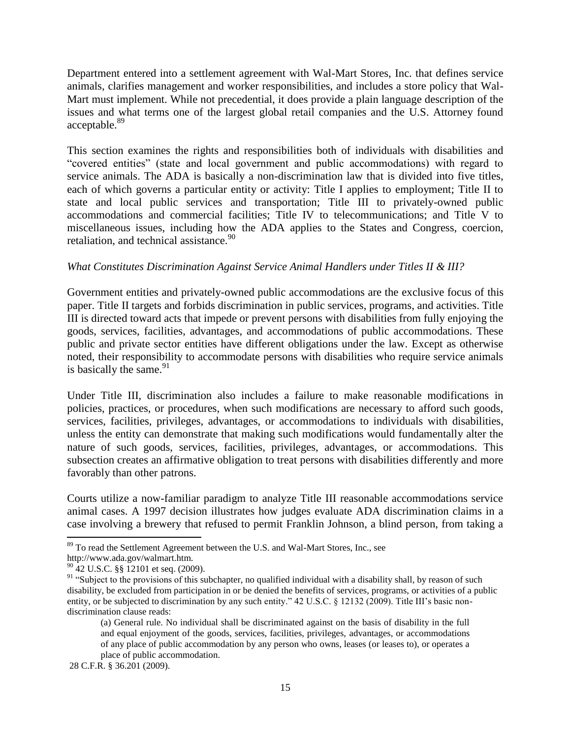Department entered into a settlement agreement with Wal-Mart Stores, Inc. that defines service animals, clarifies management and worker responsibilities, and includes a store policy that Wal-Mart must implement. While not precedential, it does provide a plain language description of the issues and what terms one of the largest global retail companies and the U.S. Attorney found acceptable.<sup>89</sup>

This section examines the rights and responsibilities both of individuals with disabilities and ―covered entities‖ (state and local government and public accommodations) with regard to service animals. The ADA is basically a non-discrimination law that is divided into five titles, each of which governs a particular entity or activity: Title I applies to employment; Title II to state and local public services and transportation; Title III to privately-owned public accommodations and commercial facilities; Title IV to telecommunications; and Title V to miscellaneous issues, including how the ADA applies to the States and Congress, coercion, retaliation, and technical assistance.<sup>90</sup>

# *What Constitutes Discrimination Against Service Animal Handlers under Titles II & III?*

Government entities and privately-owned public accommodations are the exclusive focus of this paper. Title II targets and forbids discrimination in public services, programs, and activities. Title III is directed toward acts that impede or prevent persons with disabilities from fully enjoying the goods, services, facilities, advantages, and accommodations of public accommodations. These public and private sector entities have different obligations under the law. Except as otherwise noted, their responsibility to accommodate persons with disabilities who require service animals is basically the same.<sup>91</sup>

Under Title III, discrimination also includes a failure to make reasonable modifications in policies, practices, or procedures, when such modifications are necessary to afford such goods, services, facilities, privileges, advantages, or accommodations to individuals with disabilities, unless the entity can demonstrate that making such modifications would fundamentally alter the nature of such goods, services, facilities, privileges, advantages, or accommodations. This subsection creates an affirmative obligation to treat persons with disabilities differently and more favorably than other patrons.

Courts utilize a now-familiar paradigm to analyze Title III reasonable accommodations service animal cases. A 1997 decision illustrates how judges evaluate ADA discrimination claims in a case involving a brewery that refused to permit Franklin Johnson, a blind person, from taking a

<sup>&</sup>lt;sup>89</sup> To read the Settlement Agreement between the U.S. and Wal-Mart Stores, Inc., see

http://www.ada.gov/walmart.htm.

 $^{90}$  42 U.S.C. §§ 12101 et seq. (2009).

<sup>&</sup>lt;sup>91</sup> "Subject to the provisions of this subchapter, no qualified individual with a disability shall, by reason of such disability, be excluded from participation in or be denied the benefits of services, programs, or activities of a public entity, or be subjected to discrimination by any such entity."  $42$  U.S.C. § 12132 (2009). Title III's basic nondiscrimination clause reads:

<sup>(</sup>a) General rule. No individual shall be discriminated against on the basis of disability in the full and equal enjoyment of the goods, services, facilities, privileges, advantages, or accommodations of any place of public accommodation by any person who owns, leases (or leases to), or operates a place of public accommodation.

<sup>28</sup> C.F.R. § 36.201 (2009).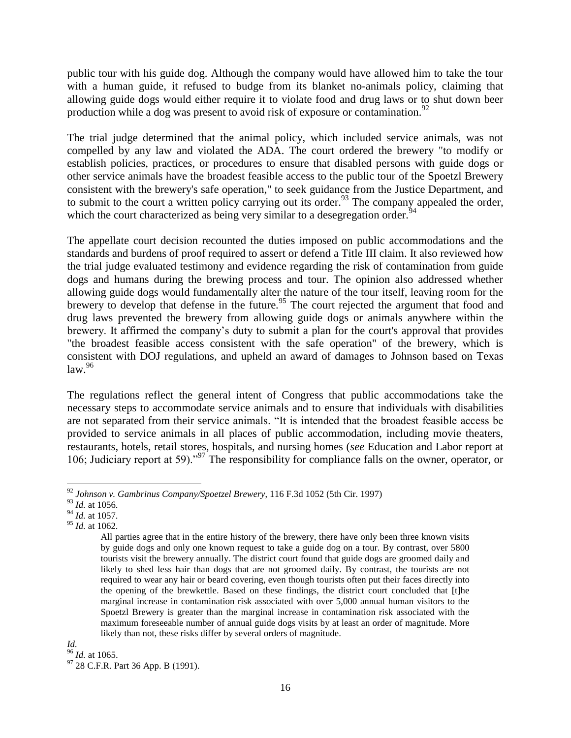public tour with his guide dog. Although the company would have allowed him to take the tour with a human guide, it refused to budge from its blanket no-animals policy, claiming that allowing guide dogs would either require it to violate food and drug laws or to shut down beer production while a dog was present to avoid risk of exposure or contamination.<sup>92</sup>

The trial judge determined that the animal policy, which included service animals, was not compelled by any law and violated the ADA. The court ordered the brewery "to modify or establish policies, practices, or procedures to ensure that disabled persons with guide dogs or other service animals have the broadest feasible access to the public tour of the Spoetzl Brewery consistent with the brewery's safe operation," to seek guidance from the Justice Department, and to submit to the court a written policy carrying out its order.<sup>93</sup> The company appealed the order, which the court characterized as being very similar to a desegregation order.<sup>94</sup>

The appellate court decision recounted the duties imposed on public accommodations and the standards and burdens of proof required to assert or defend a Title III claim. It also reviewed how the trial judge evaluated testimony and evidence regarding the risk of contamination from guide dogs and humans during the brewing process and tour. The opinion also addressed whether allowing guide dogs would fundamentally alter the nature of the tour itself, leaving room for the brewery to develop that defense in the future.<sup>95</sup> The court rejected the argument that food and drug laws prevented the brewery from allowing guide dogs or animals anywhere within the brewery. It affirmed the company's duty to submit a plan for the court's approval that provides "the broadest feasible access consistent with the safe operation" of the brewery, which is consistent with DOJ regulations, and upheld an award of damages to Johnson based on Texas  $law.<sup>96</sup>$ 

The regulations reflect the general intent of Congress that public accommodations take the necessary steps to accommodate service animals and to ensure that individuals with disabilities are not separated from their service animals. "It is intended that the broadest feasible access be provided to service animals in all places of public accommodation, including movie theaters, restaurants, hotels, retail stores, hospitals, and nursing homes (*see* Education and Labor report at 106; Judiciary report at 59).<sup>997</sup> The responsibility for compliance falls on the owner, operator, or

<sup>92</sup> *Johnson v. Gambrinus Company/Spoetzel Brewery*, 116 F.3d 1052 (5th Cir. 1997)

<sup>93</sup> *Id.* at 1056.

<sup>94</sup> *Id.* at 1057.

<sup>95</sup> *Id.* at 1062.

All parties agree that in the entire history of the brewery, there have only been three known visits by guide dogs and only one known request to take a guide dog on a tour. By contrast, over 5800 tourists visit the brewery annually. The district court found that guide dogs are groomed daily and likely to shed less hair than dogs that are not groomed daily. By contrast, the tourists are not required to wear any hair or beard covering, even though tourists often put their faces directly into the opening of the brewkettle. Based on these findings, the district court concluded that [t]he marginal increase in contamination risk associated with over 5,000 annual human visitors to the Spoetzl Brewery is greater than the marginal increase in contamination risk associated with the maximum foreseeable number of annual guide dogs visits by at least an order of magnitude. More likely than not, these risks differ by several orders of magnitude.

*Id.* 

<sup>96</sup> *Id.* at 1065.

<sup>&</sup>lt;sup>97</sup> 28 C.F.R. Part 36 App. B (1991).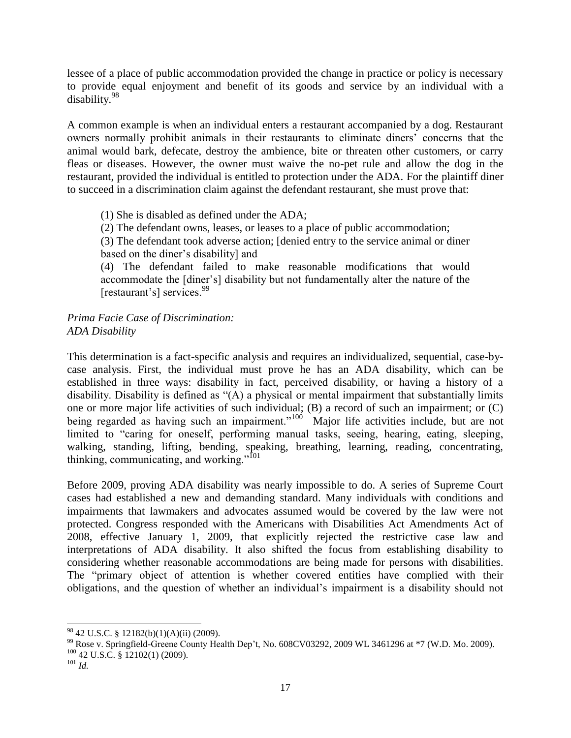lessee of a place of public accommodation provided the change in practice or policy is necessary to provide equal enjoyment and benefit of its goods and service by an individual with a disability.<sup>98</sup>

A common example is when an individual enters a restaurant accompanied by a dog. Restaurant owners normally prohibit animals in their restaurants to eliminate diners' concerns that the animal would bark, defecate, destroy the ambience, bite or threaten other customers, or carry fleas or diseases. However, the owner must waive the no-pet rule and allow the dog in the restaurant, provided the individual is entitled to protection under the ADA. For the plaintiff diner to succeed in a discrimination claim against the defendant restaurant, she must prove that:

(1) She is disabled as defined under the ADA;

(2) The defendant owns, leases, or leases to a place of public accommodation;

(3) The defendant took adverse action; [denied entry to the service animal or diner based on the diner's disability] and

(4) The defendant failed to make reasonable modifications that would accommodate the [diner's] disability but not fundamentally alter the nature of the [restaurant's] services.<sup>99</sup>

*Prima Facie Case of Discrimination: ADA Disability*

This determination is a fact-specific analysis and requires an individualized, sequential, case-bycase analysis. First, the individual must prove he has an ADA disability, which can be established in three ways: disability in fact, perceived disability, or having a history of a disability. Disability is defined as  $(A)$  a physical or mental impairment that substantially limits one or more major life activities of such individual; (B) a record of such an impairment; or (C) being regarded as having such an impairment."<sup>100</sup> Major life activities include, but are not limited to "caring for oneself, performing manual tasks, seeing, hearing, eating, sleeping, walking, standing, lifting, bending, speaking, breathing, learning, reading, concentrating, thinking, communicating, and working."<sup>101</sup>

Before 2009, proving ADA disability was nearly impossible to do. A series of Supreme Court cases had established a new and demanding standard. Many individuals with conditions and impairments that lawmakers and advocates assumed would be covered by the law were not protected. Congress responded with the Americans with Disabilities Act Amendments Act of 2008, effective January 1, 2009, that explicitly rejected the restrictive case law and interpretations of ADA disability. It also shifted the focus from establishing disability to considering whether reasonable accommodations are being made for persons with disabilities. The "primary object of attention is whether covered entities have complied with their obligations, and the question of whether an individual's impairment is a disability should not

<sup>98</sup> 42 U.S.C. § 12182(b)(1)(A)(ii) (2009).

<sup>&</sup>lt;sup>99</sup> Rose v. Springfield-Greene County Health Dep't, No. 608CV03292, 2009 WL 3461296 at \*7 (W.D. Mo. 2009).  $100$  42 U.S.C. § 12102(1) (2009).

<sup>101</sup> *Id.*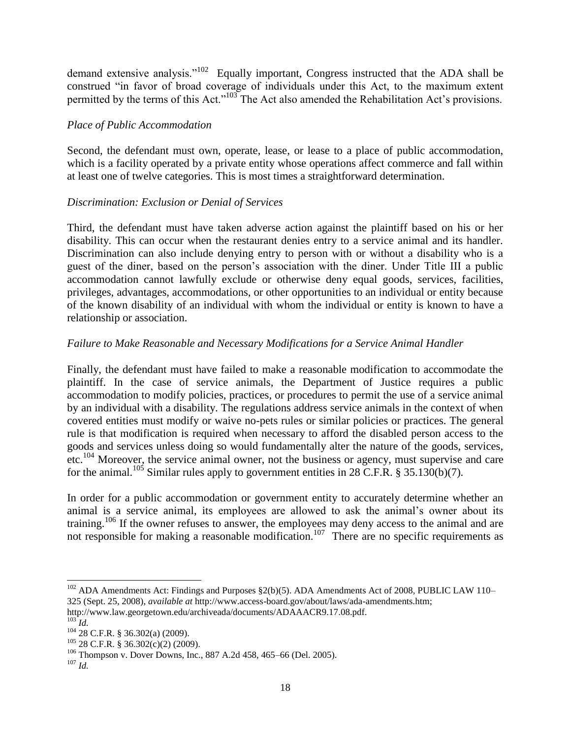demand extensive analysis." $102$  Equally important, Congress instructed that the ADA shall be construed "in favor of broad coverage of individuals under this Act, to the maximum extent permitted by the terms of this Act."<sup>103</sup> The Act also amended the Rehabilitation Act's provisions.

# *Place of Public Accommodation*

Second, the defendant must own, operate, lease, or lease to a place of public accommodation, which is a facility operated by a private entity whose operations affect commerce and fall within at least one of twelve categories. This is most times a straightforward determination.

# *Discrimination: Exclusion or Denial of Services*

Third, the defendant must have taken adverse action against the plaintiff based on his or her disability. This can occur when the restaurant denies entry to a service animal and its handler. Discrimination can also include denying entry to person with or without a disability who is a guest of the diner, based on the person's association with the diner. Under Title III a public accommodation cannot lawfully exclude or otherwise deny equal goods, services, facilities, privileges, advantages, accommodations, or other opportunities to an individual or entity because of the known disability of an individual with whom the individual or entity is known to have a relationship or association.

# *Failure to Make Reasonable and Necessary Modifications for a Service Animal Handler*

Finally, the defendant must have failed to make a reasonable modification to accommodate the plaintiff. In the case of service animals, the Department of Justice requires a public accommodation to modify policies, practices, or procedures to permit the use of a service animal by an individual with a disability. The regulations address service animals in the context of when covered entities must modify or waive no-pets rules or similar policies or practices. The general rule is that modification is required when necessary to afford the disabled person access to the goods and services unless doing so would fundamentally alter the nature of the goods, services, etc.<sup>104</sup> Moreover, the service animal owner, not the business or agency, must supervise and care for the animal.<sup>105</sup> Similar rules apply to government entities in 28 C.F.R. § 35.130(b)(7).

In order for a public accommodation or government entity to accurately determine whether an animal is a service animal, its employees are allowed to ask the animal's owner about its training.<sup>106</sup> If the owner refuses to answer, the employees may deny access to the animal and are not responsible for making a reasonable modification.<sup>107</sup> There are no specific requirements as

<sup>&</sup>lt;sup>102</sup> ADA Amendments Act: Findings and Purposes §2(b)(5). ADA Amendments Act of 2008, PUBLIC LAW 110– 325 (Sept. 25, 2008), *available at* http://www.access-board.gov/about/laws/ada-amendments.htm;

http://www.law.georgetown.edu/archiveada/documents/ADAAACR9.17.08.pdf.

 $^{103}$ *Id.* 

<sup>104</sup> 28 C.F.R. § 36.302(a) (2009).

 $105$  28 C.F.R. § 36.302(c)(2) (2009).

<sup>106</sup> Thompson v. Dover Downs, Inc., 887 A.2d 458, 465–66 (Del. 2005).

<sup>107</sup> *Id.*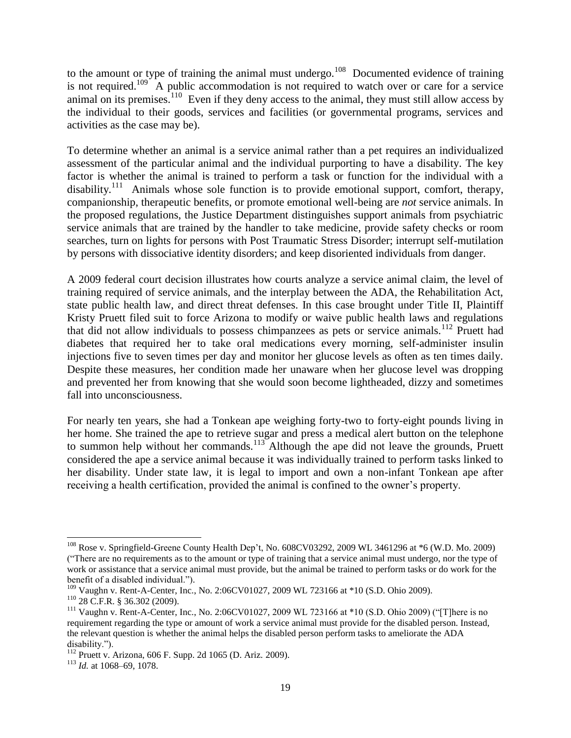to the amount or type of training the animal must undergo.<sup>108</sup> Documented evidence of training is not required.<sup>109</sup> A public accommodation is not required to watch over or care for a service animal on its premises.<sup>110</sup> Even if they deny access to the animal, they must still allow access by the individual to their goods, services and facilities (or governmental programs, services and activities as the case may be).

To determine whether an animal is a service animal rather than a pet requires an individualized assessment of the particular animal and the individual purporting to have a disability. The key factor is whether the animal is trained to perform a task or function for the individual with a disability.<sup>111</sup> Animals whose sole function is to provide emotional support, comfort, therapy, companionship, therapeutic benefits, or promote emotional well-being are *not* service animals. In the proposed regulations, the Justice Department distinguishes support animals from psychiatric service animals that are trained by the handler to take medicine, provide safety checks or room searches, turn on lights for persons with Post Traumatic Stress Disorder; interrupt self-mutilation by persons with dissociative identity disorders; and keep disoriented individuals from danger.

A 2009 federal court decision illustrates how courts analyze a service animal claim, the level of training required of service animals, and the interplay between the ADA, the Rehabilitation Act, state public health law, and direct threat defenses. In this case brought under Title II, Plaintiff Kristy Pruett filed suit to force Arizona to modify or waive public health laws and regulations that did not allow individuals to possess chimpanzees as pets or service animals.<sup>112</sup> Pruett had diabetes that required her to take oral medications every morning, self-administer insulin injections five to seven times per day and monitor her glucose levels as often as ten times daily. Despite these measures, her condition made her unaware when her glucose level was dropping and prevented her from knowing that she would soon become lightheaded, dizzy and sometimes fall into unconsciousness.

For nearly ten years, she had a Tonkean ape weighing forty-two to forty-eight pounds living in her home. She trained the ape to retrieve sugar and press a medical alert button on the telephone to summon help without her commands.<sup>113</sup> Although the ape did not leave the grounds, Pruett considered the ape a service animal because it was individually trained to perform tasks linked to her disability. Under state law, it is legal to import and own a non-infant Tonkean ape after receiving a health certification, provided the animal is confined to the owner's property.

<sup>108</sup> Rose v. Springfield-Greene County Health Dep't, No. 608CV03292, 2009 WL 3461296 at \*6 (W.D. Mo. 2009) (―There are no requirements as to the amount or type of training that a service animal must undergo, nor the type of work or assistance that a service animal must provide, but the animal be trained to perform tasks or do work for the benefit of a disabled individual.").

<sup>109</sup> Vaughn v. Rent-A-Center, Inc., No. 2:06CV01027, 2009 WL 723166 at \*10 (S.D. Ohio 2009).

 $110$  28 C.F.R. § 36.302 (2009).

 $111$  Vaughn v. Rent-A-Center, Inc., No. 2:06CV01027, 2009 WL 723166 at  $*10$  (S.D. Ohio 2009) ("T]here is no requirement regarding the type or amount of work a service animal must provide for the disabled person. Instead, the relevant question is whether the animal helps the disabled person perform tasks to ameliorate the ADA disability.").

<sup>112</sup> Pruett v. Arizona, 606 F. Supp. 2d 1065 (D. Ariz. 2009).

<sup>113</sup> *Id.* at 1068–69, 1078.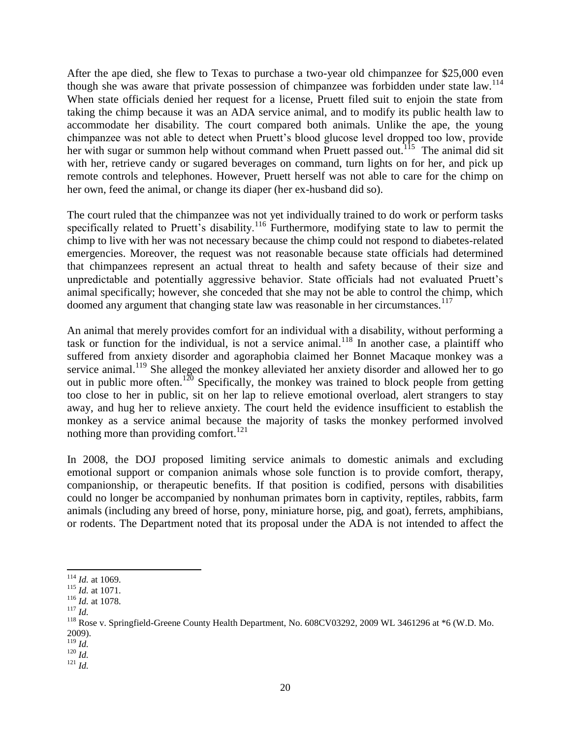After the ape died, she flew to Texas to purchase a two-year old chimpanzee for \$25,000 even though she was aware that private possession of chimpanzee was forbidden under state law.<sup>114</sup> When state officials denied her request for a license, Pruett filed suit to enjoin the state from taking the chimp because it was an ADA service animal, and to modify its public health law to accommodate her disability. The court compared both animals. Unlike the ape, the young chimpanzee was not able to detect when Pruett's blood glucose level dropped too low, provide her with sugar or summon help without command when Pruett passed out.<sup>115</sup> The animal did sit with her, retrieve candy or sugared beverages on command, turn lights on for her, and pick up remote controls and telephones. However, Pruett herself was not able to care for the chimp on her own, feed the animal, or change its diaper (her ex-husband did so).

The court ruled that the chimpanzee was not yet individually trained to do work or perform tasks specifically related to Pruett's disability.<sup>116</sup> Furthermore, modifying state to law to permit the chimp to live with her was not necessary because the chimp could not respond to diabetes-related emergencies. Moreover, the request was not reasonable because state officials had determined that chimpanzees represent an actual threat to health and safety because of their size and unpredictable and potentially aggressive behavior. State officials had not evaluated Pruett's animal specifically; however, she conceded that she may not be able to control the chimp, which doomed any argument that changing state law was reasonable in her circumstances.<sup>117</sup>

An animal that merely provides comfort for an individual with a disability, without performing a task or function for the individual, is not a service animal.<sup>118</sup> In another case, a plaintiff who suffered from anxiety disorder and agoraphobia claimed her Bonnet Macaque monkey was a service animal.<sup>119</sup> She alleged the monkey alleviated her anxiety disorder and allowed her to go out in public more often.<sup>120</sup> Specifically, the monkey was trained to block people from getting too close to her in public, sit on her lap to relieve emotional overload, alert strangers to stay away, and hug her to relieve anxiety. The court held the evidence insufficient to establish the monkey as a service animal because the majority of tasks the monkey performed involved nothing more than providing comfort.<sup>121</sup>

In 2008, the DOJ proposed limiting service animals to domestic animals and excluding emotional support or companion animals whose sole function is to provide comfort, therapy, companionship, or therapeutic benefits. If that position is codified, persons with disabilities could no longer be accompanied by nonhuman primates born in captivity, reptiles, rabbits, farm animals (including any breed of horse, pony, miniature horse, pig, and goat), ferrets, amphibians, or rodents. The Department noted that its proposal under the ADA is not intended to affect the

 <sup>114</sup> *Id.* at 1069.

<sup>115</sup> *Id.* at 1071.

<sup>116</sup> *Id.* at 1078.

<sup>117</sup> *Id.*

<sup>&</sup>lt;sup>118</sup> Rose v. Springfield-Greene County Health Department, No. 608CV03292, 2009 WL 3461296 at \*6 (W.D. Mo. 2009).

<sup>119</sup> *Id.*

<sup>120</sup> *Id.* <sup>121</sup> *Id.*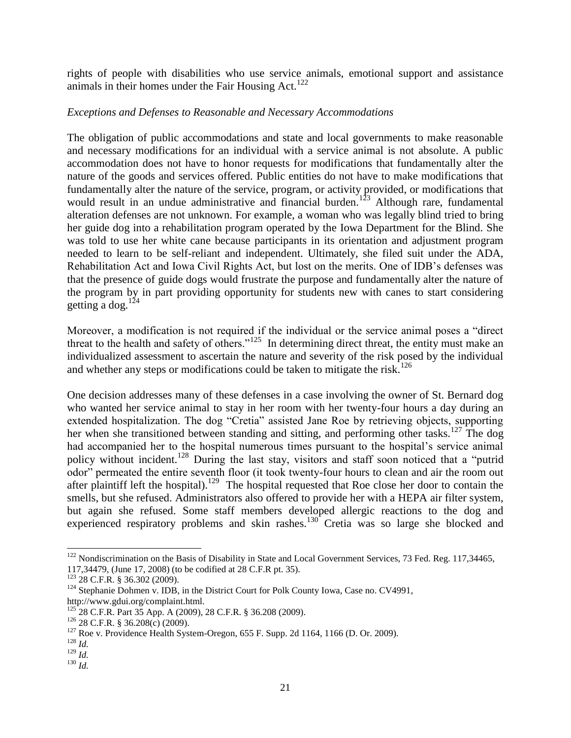rights of people with disabilities who use service animals, emotional support and assistance animals in their homes under the Fair Housing Act.<sup>122</sup>

# *Exceptions and Defenses to Reasonable and Necessary Accommodations*

The obligation of public accommodations and state and local governments to make reasonable and necessary modifications for an individual with a service animal is not absolute. A public accommodation does not have to honor requests for modifications that fundamentally alter the nature of the goods and services offered. Public entities do not have to make modifications that fundamentally alter the nature of the service, program, or activity provided, or modifications that would result in an undue administrative and financial burden.<sup>123</sup> Although rare, fundamental alteration defenses are not unknown. For example, a woman who was legally blind tried to bring her guide dog into a rehabilitation program operated by the Iowa Department for the Blind. She was told to use her white cane because participants in its orientation and adjustment program needed to learn to be self-reliant and independent. Ultimately, she filed suit under the ADA, Rehabilitation Act and Iowa Civil Rights Act, but lost on the merits. One of IDB's defenses was that the presence of guide dogs would frustrate the purpose and fundamentally alter the nature of the program by in part providing opportunity for students new with canes to start considering getting a dog. $124$ 

Moreover, a modification is not required if the individual or the service animal poses a "direct threat to the health and safety of others."<sup>125</sup> In determining direct threat, the entity must make an individualized assessment to ascertain the nature and severity of the risk posed by the individual and whether any steps or modifications could be taken to mitigate the risk.<sup>126</sup>

One decision addresses many of these defenses in a case involving the owner of St. Bernard dog who wanted her service animal to stay in her room with her twenty-four hours a day during an extended hospitalization. The dog "Cretia" assisted Jane Roe by retrieving objects, supporting her when she transitioned between standing and sitting, and performing other tasks.<sup>127</sup> The dog had accompanied her to the hospital numerous times pursuant to the hospital's service animal policy without incident.<sup>128</sup> During the last stay, visitors and staff soon noticed that a "putrid" odor" permeated the entire seventh floor (it took twenty-four hours to clean and air the room out after plaintiff left the hospital).<sup>129</sup> The hospital requested that Roe close her door to contain the smells, but she refused. Administrators also offered to provide her with a HEPA air filter system, but again she refused. Some staff members developed allergic reactions to the dog and experienced respiratory problems and skin rashes. $130^{\circ}$  Cretia was so large she blocked and

 $122$  Nondiscrimination on the Basis of Disability in State and Local Government Services, 73 Fed. Reg. 117,34465, 117,34479, (June 17, 2008) (to be codified at 28 C.F.R pt. 35).

<sup>123</sup> 28 C.F.R. § 36.302 (2009).

<sup>&</sup>lt;sup>124</sup> Stephanie Dohmen v. IDB, in the District Court for Polk County Iowa, Case no. CV4991, http://www.gdui.org/complaint.html.

<sup>125</sup> 28 C.F.R. Part 35 App. A (2009), 28 C.F.R. § 36.208 (2009).

<sup>126</sup> 28 C.F.R. § 36.208(c) (2009).

 $127$  Roe v. Providence Health System-Oregon, 655 F. Supp. 2d 1164, 1166 (D. Or. 2009).

<sup>128</sup> *Id.*

<sup>129</sup> *Id.*

<sup>130</sup> *Id.*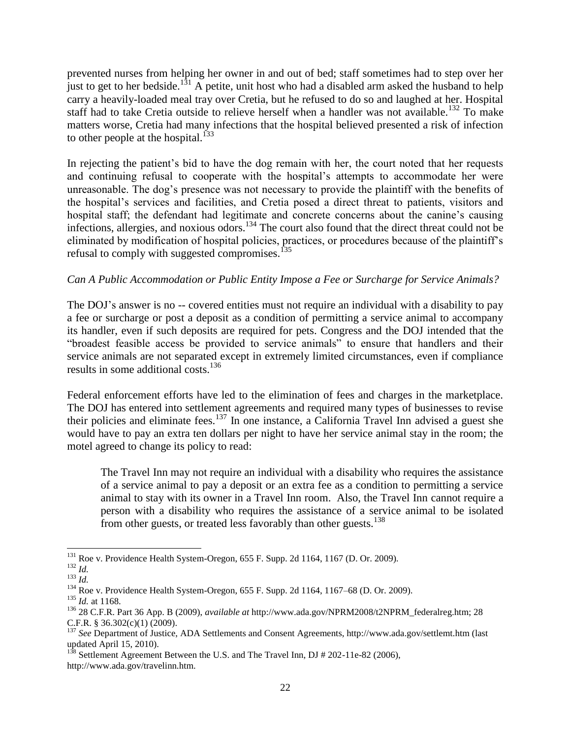prevented nurses from helping her owner in and out of bed; staff sometimes had to step over her just to get to her bedside.<sup>131</sup> A petite, unit host who had a disabled arm asked the husband to help carry a heavily-loaded meal tray over Cretia, but he refused to do so and laughed at her. Hospital staff had to take Cretia outside to relieve herself when a handler was not available.<sup>132</sup> To make matters worse, Cretia had many infections that the hospital believed presented a risk of infection to other people at the hospital.<sup>133</sup>

In rejecting the patient's bid to have the dog remain with her, the court noted that her requests and continuing refusal to cooperate with the hospital's attempts to accommodate her were unreasonable. The dog's presence was not necessary to provide the plaintiff with the benefits of the hospital's services and facilities, and Cretia posed a direct threat to patients, visitors and hospital staff; the defendant had legitimate and concrete concerns about the canine's causing infections, allergies, and noxious odors.<sup>134</sup> The court also found that the direct threat could not be eliminated by modification of hospital policies, practices, or procedures because of the plaintiff's refusal to comply with suggested compromises. $135$ 

# *Can A Public Accommodation or Public Entity Impose a Fee or Surcharge for Service Animals?*

The DOJ's answer is no -- covered entities must not require an individual with a disability to pay a fee or surcharge or post a deposit as a condition of permitting a service animal to accompany its handler, even if such deposits are required for pets. Congress and the DOJ intended that the "broadest feasible access be provided to service animals" to ensure that handlers and their service animals are not separated except in extremely limited circumstances, even if compliance results in some additional costs.<sup>136</sup>

Federal enforcement efforts have led to the elimination of fees and charges in the marketplace. The DOJ has entered into settlement agreements and required many types of businesses to revise their policies and eliminate fees.<sup>137</sup> In one instance, a California Travel Inn advised a guest she would have to pay an extra ten dollars per night to have her service animal stay in the room; the motel agreed to change its policy to read:

The Travel Inn may not require an individual with a disability who requires the assistance of a service animal to pay a deposit or an extra fee as a condition to permitting a service animal to stay with its owner in a Travel Inn room. Also, the Travel Inn cannot require a person with a disability who requires the assistance of a service animal to be isolated from other guests, or treated less favorably than other guests.<sup>138</sup>

 $\overline{a}$ <sup>131</sup> Roe v. Providence Health System-Oregon, 655 F. Supp. 2d 1164, 1167 (D. Or. 2009).

<sup>132</sup> *Id.* <sup>133</sup> *Id.*

<sup>134</sup> Roe v. Providence Health System-Oregon, 655 F. Supp. 2d 1164, 1167–68 (D. Or. 2009).

<sup>135</sup> *Id.* at 1168.

<sup>136</sup> 28 C.F.R. Part 36 App. B (2009), *available at* http://www.ada.gov/NPRM2008/t2NPRM\_federalreg.htm; 28 C.F.R. § 36.302(c)(1) (2009).

<sup>137</sup> *See* Department of Justice, ADA Settlements and Consent Agreements, http://www.ada.gov/settlemt.htm (last updated April 15, 2010).

 $1^{38}$  Settlement Agreement Between the U.S. and The Travel Inn, DJ # 202-11e-82 (2006), http://www.ada.gov/travelinn.htm.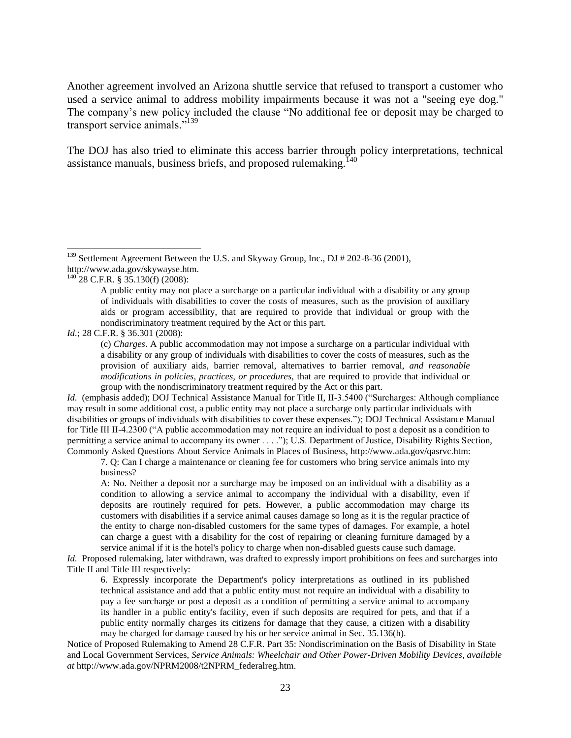Another agreement involved an Arizona shuttle service that refused to transport a customer who used a service animal to address mobility impairments because it was not a "seeing eye dog." The company's new policy included the clause "No additional fee or deposit may be charged to transport service animals."<sup>139</sup>

The DOJ has also tried to eliminate this access barrier through policy interpretations, technical assistance manuals, business briefs, and proposed rulemaking.<sup>140</sup>

*Id.* (emphasis added); DOJ Technical Assistance Manual for Title II, II-3.5400 ("Surcharges: Although compliance may result in some additional cost, a public entity may not place a surcharge only particular individuals with disabilities or groups of individuals with disabilities to cover these expenses."); DOJ Technical Assistance Manual for Title III II-4.2300 ("A public accommodation may not require an individual to post a deposit as a condition to permitting a service animal to accompany its owner . . . ."); U.S. Department of Justice, Disability Rights Section, Commonly Asked Questions About Service Animals in Places of Business, http://www.ada.gov/qasrvc.htm:

<sup>&</sup>lt;sup>139</sup> Settlement Agreement Between the U.S. and Skyway Group, Inc., DJ # 202-8-36 (2001), http://www.ada.gov/skywayse.htm.

 $^{140}$  28 C.F.R. § 35.130(f) (2008):

A public entity may not place a surcharge on a particular individual with a disability or any group of individuals with disabilities to cover the costs of measures, such as the provision of auxiliary aids or program accessibility, that are required to provide that individual or group with the nondiscriminatory treatment required by the Act or this part.

*Id.*; 28 C.F.R. § 36.301 (2008):

<sup>(</sup>c) *Charges*. A public accommodation may not impose a surcharge on a particular individual with a disability or any group of individuals with disabilities to cover the costs of measures, such as the provision of auxiliary aids, barrier removal, alternatives to barrier removal, *and reasonable modifications in policies, practices, or procedures,* that are required to provide that individual or group with the nondiscriminatory treatment required by the Act or this part.

<sup>7.</sup> Q: Can I charge a maintenance or cleaning fee for customers who bring service animals into my business?

A: No. Neither a deposit nor a surcharge may be imposed on an individual with a disability as a condition to allowing a service animal to accompany the individual with a disability, even if deposits are routinely required for pets. However, a public accommodation may charge its customers with disabilities if a service animal causes damage so long as it is the regular practice of the entity to charge non-disabled customers for the same types of damages. For example, a hotel can charge a guest with a disability for the cost of repairing or cleaning furniture damaged by a service animal if it is the hotel's policy to charge when non-disabled guests cause such damage.

*Id.* Proposed rulemaking, later withdrawn, was drafted to expressly import prohibitions on fees and surcharges into Title II and Title III respectively:

<sup>6.</sup> Expressly incorporate the Department's policy interpretations as outlined in its published technical assistance and add that a public entity must not require an individual with a disability to pay a fee surcharge or post a deposit as a condition of permitting a service animal to accompany its handler in a public entity's facility, even if such deposits are required for pets, and that if a public entity normally charges its citizens for damage that they cause, a citizen with a disability may be charged for damage caused by his or her service animal in Sec. 35.136(h).

Notice of Proposed Rulemaking to Amend 28 C.F.R. Part 35: Nondiscrimination on the Basis of Disability in State and Local Government Services, *Service Animals: Wheelchair and Other Power-Driven Mobility Devices*, *available at* http://www.ada.gov/NPRM2008/t2NPRM\_federalreg.htm.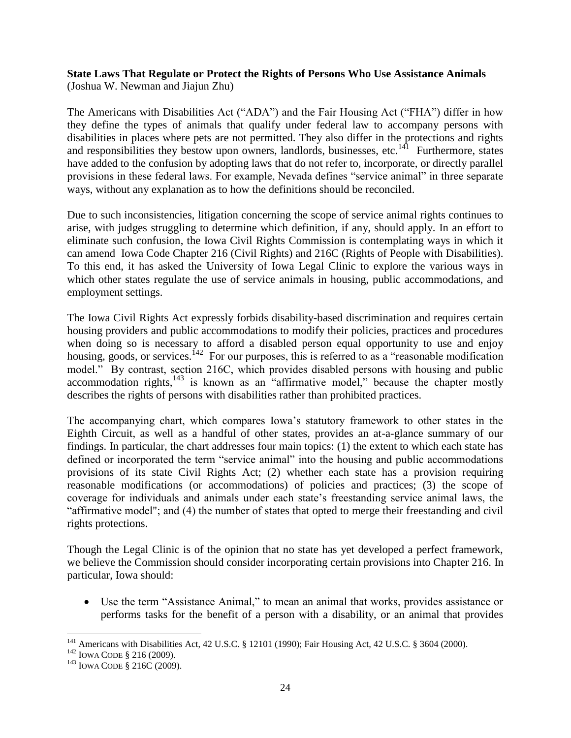### **State Laws That Regulate or Protect the Rights of Persons Who Use Assistance Animals** (Joshua W. Newman and Jiajun Zhu)

The Americans with Disabilities Act ("ADA") and the Fair Housing Act ("FHA") differ in how they define the types of animals that qualify under federal law to accompany persons with disabilities in places where pets are not permitted. They also differ in the protections and rights and responsibilities they bestow upon owners, landlords, businesses, etc. $141$  Furthermore, states have added to the confusion by adopting laws that do not refer to, incorporate, or directly parallel provisions in these federal laws. For example, Nevada defines "service animal" in three separate ways, without any explanation as to how the definitions should be reconciled.

Due to such inconsistencies, litigation concerning the scope of service animal rights continues to arise, with judges struggling to determine which definition, if any, should apply. In an effort to eliminate such confusion, the Iowa Civil Rights Commission is contemplating ways in which it can amend Iowa Code Chapter 216 (Civil Rights) and 216C (Rights of People with Disabilities). To this end, it has asked the University of Iowa Legal Clinic to explore the various ways in which other states regulate the use of service animals in housing, public accommodations, and employment settings.

The Iowa Civil Rights Act expressly forbids disability-based discrimination and requires certain housing providers and public accommodations to modify their policies, practices and procedures when doing so is necessary to afford a disabled person equal opportunity to use and enjoy housing, goods, or services.<sup>142</sup> For our purposes, this is referred to as a "reasonable modification" model." By contrast, section 216C, which provides disabled persons with housing and public accommodation rights, $143$  is known as an "affirmative model," because the chapter mostly describes the rights of persons with disabilities rather than prohibited practices.

The accompanying chart, which compares Iowa's statutory framework to other states in the Eighth Circuit, as well as a handful of other states, provides an at-a-glance summary of our findings. In particular, the chart addresses four main topics: (1) the extent to which each state has defined or incorporated the term "service animal" into the housing and public accommodations provisions of its state Civil Rights Act; (2) whether each state has a provision requiring reasonable modifications (or accommodations) of policies and practices; (3) the scope of coverage for individuals and animals under each state's freestanding service animal laws, the ―affirmative model"; and (4) the number of states that opted to merge their freestanding and civil rights protections.

Though the Legal Clinic is of the opinion that no state has yet developed a perfect framework, we believe the Commission should consider incorporating certain provisions into Chapter 216. In particular, Iowa should:

• Use the term "Assistance Animal," to mean an animal that works, provides assistance or performs tasks for the benefit of a person with a disability, or an animal that provides

<sup>&</sup>lt;sup>141</sup> Americans with Disabilities Act, 42 U.S.C. § 12101 (1990); Fair Housing Act, 42 U.S.C. § 3604 (2000).

<sup>&</sup>lt;sup>142</sup> IOWA CODE § 216 (2009).

<sup>&</sup>lt;sup>143</sup> IOWA CODE § 216C (2009).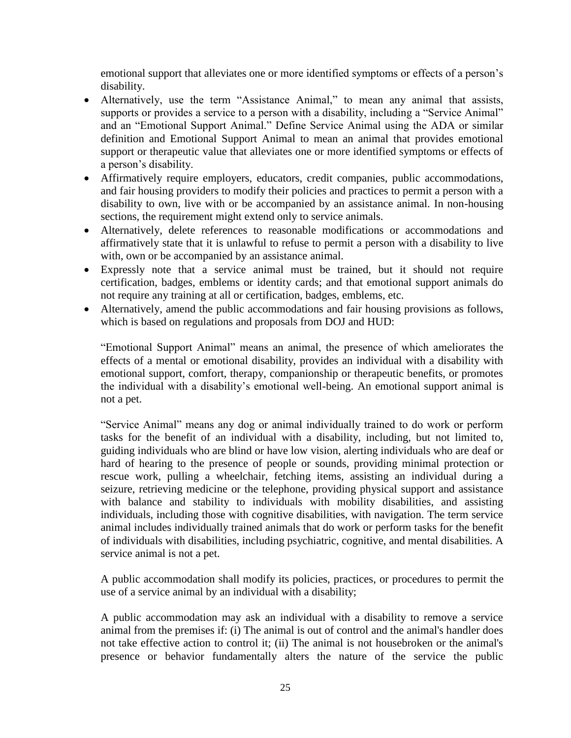emotional support that alleviates one or more identified symptoms or effects of a person's disability.

- Alternatively, use the term "Assistance Animal," to mean any animal that assists, supports or provides a service to a person with a disability, including a "Service Animal" and an "Emotional Support Animal." Define Service Animal using the ADA or similar definition and Emotional Support Animal to mean an animal that provides emotional support or therapeutic value that alleviates one or more identified symptoms or effects of a person's disability.
- Affirmatively require employers, educators, credit companies, public accommodations, and fair housing providers to modify their policies and practices to permit a person with a disability to own, live with or be accompanied by an assistance animal. In non-housing sections, the requirement might extend only to service animals.
- Alternatively, delete references to reasonable modifications or accommodations and affirmatively state that it is unlawful to refuse to permit a person with a disability to live with, own or be accompanied by an assistance animal.
- Expressly note that a service animal must be trained, but it should not require certification, badges, emblems or identity cards; and that emotional support animals do not require any training at all or certification, badges, emblems, etc.
- Alternatively, amend the public accommodations and fair housing provisions as follows, which is based on regulations and proposals from DOJ and HUD:

―Emotional Support Animal‖ means an animal, the presence of which ameliorates the effects of a mental or emotional disability, provides an individual with a disability with emotional support, comfort, therapy, companionship or therapeutic benefits, or promotes the individual with a disability's emotional well-being. An emotional support animal is not a pet.

―Service Animal‖ means any dog or animal individually trained to do work or perform tasks for the benefit of an individual with a disability, including, but not limited to, guiding individuals who are blind or have low vision, alerting individuals who are deaf or hard of hearing to the presence of people or sounds, providing minimal protection or rescue work, pulling a wheelchair, fetching items, assisting an individual during a seizure, retrieving medicine or the telephone, providing physical support and assistance with balance and stability to individuals with mobility disabilities, and assisting individuals, including those with cognitive disabilities, with navigation. The term service animal includes individually trained animals that do work or perform tasks for the benefit of individuals with disabilities, including psychiatric, cognitive, and mental disabilities. A service animal is not a pet.

A public accommodation shall modify its policies, practices, or procedures to permit the use of a service animal by an individual with a disability;

A public accommodation may ask an individual with a disability to remove a service animal from the premises if: (i) The animal is out of control and the animal's handler does not take effective action to control it; (ii) The animal is not housebroken or the animal's presence or behavior fundamentally alters the nature of the service the public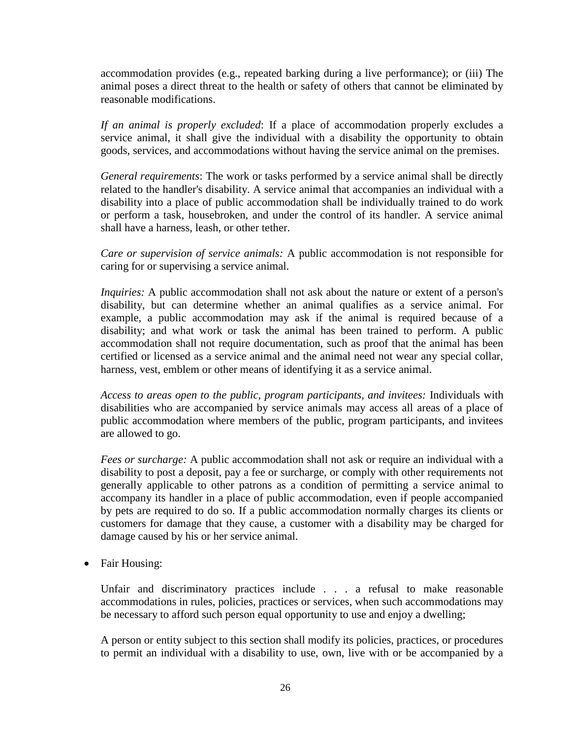accommodation provides (e.g., repeated barking during a live performance); or (iii) The animal poses a direct threat to the health or safety of others that cannot be eliminated by reasonable modifications.

*If an animal is properly excluded*: If a place of accommodation properly excludes a service animal, it shall give the individual with a disability the opportunity to obtain goods, services, and accommodations without having the service animal on the premises.

*General requirements*: The work or tasks performed by a service animal shall be directly related to the handler's disability. A service animal that accompanies an individual with a disability into a place of public accommodation shall be individually trained to do work or perform a task, housebroken, and under the control of its handler. A service animal shall have a harness, leash, or other tether.

*Care or supervision of service animals:* A public accommodation is not responsible for caring for or supervising a service animal.

*Inquiries:* A public accommodation shall not ask about the nature or extent of a person's disability, but can determine whether an animal qualifies as a service animal. For example, a public accommodation may ask if the animal is required because of a disability; and what work or task the animal has been trained to perform. A public accommodation shall not require documentation, such as proof that the animal has been certified or licensed as a service animal and the animal need not wear any special collar, harness, vest, emblem or other means of identifying it as a service animal.

*Access to areas open to the public, program participants, and invitees:* Individuals with disabilities who are accompanied by service animals may access all areas of a place of public accommodation where members of the public, program participants, and invitees are allowed to go.

*Fees or surcharge:* A public accommodation shall not ask or require an individual with a disability to post a deposit, pay a fee or surcharge, or comply with other requirements not generally applicable to other patrons as a condition of permitting a service animal to accompany its handler in a place of public accommodation, even if people accompanied by pets are required to do so. If a public accommodation normally charges its clients or customers for damage that they cause, a customer with a disability may be charged for damage caused by his or her service animal.

• Fair Housing:

Unfair and discriminatory practices include . . . a refusal to make reasonable accommodations in rules, policies, practices or services, when such accommodations may be necessary to afford such person equal opportunity to use and enjoy a dwelling;

A person or entity subject to this section shall modify its policies, practices, or procedures to permit an individual with a disability to use, own, live with or be accompanied by a